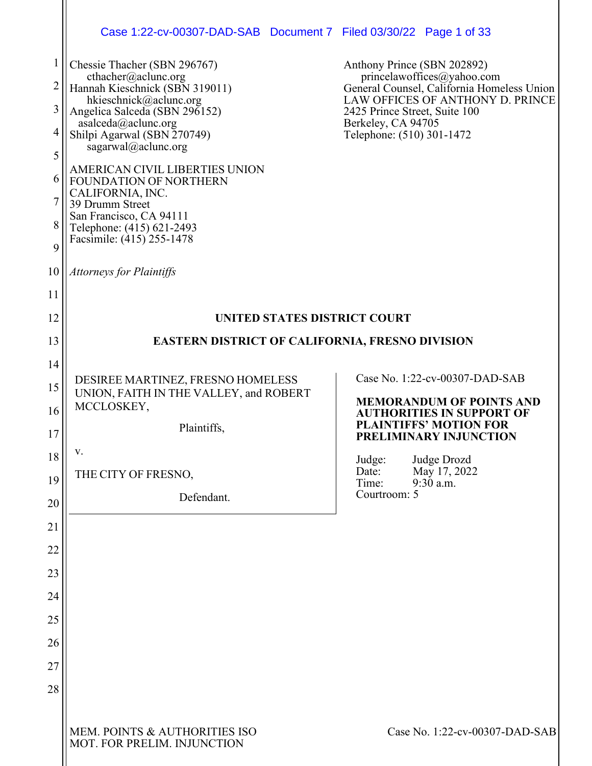|                | Case 1:22-cv-00307-DAD-SAB Document 7 Filed 03/30/22 Page 1 of 33           |                                                                          |  |  |  |  |
|----------------|-----------------------------------------------------------------------------|--------------------------------------------------------------------------|--|--|--|--|
| $\mathbf{1}$   | Chessie Thacher (SBN 296767)                                                | Anthony Prince (SBN 202892)                                              |  |  |  |  |
| $\overline{c}$ | cthacher@aclunc.org<br>Hannah Kieschnick (SBN 319011)                       | princelawoffices@yahoo.com<br>General Counsel, California Homeless Union |  |  |  |  |
| 3              | hkieschnick@aclunc.org<br>Angelica Salceda (SBN 296152)                     | LAW OFFICES OF ANTHONY D. PRINCE<br>2425 Prince Street, Suite 100        |  |  |  |  |
| 4              | asalceda@aclunc.org<br>Shilpi Agarwal (SBN 270749)                          | Berkeley, CA 94705<br>Telephone: (510) 301-1472                          |  |  |  |  |
| 5              | sagarwal@aclunc.org                                                         |                                                                          |  |  |  |  |
| 6              | AMERICAN CIVIL LIBERTIES UNION<br>FOUNDATION OF NORTHERN                    |                                                                          |  |  |  |  |
| 7              | CALIFORNIA, INC.<br>39 Drumm Street                                         |                                                                          |  |  |  |  |
| 8              | San Francisco, CA 94111<br>Telephone: (415) 621-2493                        |                                                                          |  |  |  |  |
| 9              | Facsimile: (415) 255-1478                                                   |                                                                          |  |  |  |  |
| 10             | <b>Attorneys for Plaintiffs</b>                                             |                                                                          |  |  |  |  |
| 11             |                                                                             |                                                                          |  |  |  |  |
| 12             | UNITED STATES DISTRICT COURT                                                |                                                                          |  |  |  |  |
| 13             | <b>EASTERN DISTRICT OF CALIFORNIA, FRESNO DIVISION</b>                      |                                                                          |  |  |  |  |
| 14             |                                                                             |                                                                          |  |  |  |  |
| 15             | DESIREE MARTINEZ, FRESNO HOMELESS<br>UNION, FAITH IN THE VALLEY, and ROBERT | Case No. 1:22-cv-00307-DAD-SAB<br><b>MEMORANDUM OF POINTS AND</b>        |  |  |  |  |
| 16             | MCCLOSKEY,                                                                  | <b>AUTHORITIES IN SUPPORT OF</b><br><b>PLAINTIFFS' MOTION FOR</b>        |  |  |  |  |
| 17             | Plaintiffs,                                                                 | PRELIMINARY INJUNCTION                                                   |  |  |  |  |
| 18             | V.                                                                          | Judge Drozd<br>Judge:<br>May 17, 2022<br>Date:                           |  |  |  |  |
| 19             | THE CITY OF FRESNO,                                                         | Time:<br>$9:30$ a.m.<br>Courtroom: 5                                     |  |  |  |  |
| 20             | Defendant.                                                                  |                                                                          |  |  |  |  |
| 21             |                                                                             |                                                                          |  |  |  |  |
| 22             |                                                                             |                                                                          |  |  |  |  |
| 23             |                                                                             |                                                                          |  |  |  |  |
| 24             |                                                                             |                                                                          |  |  |  |  |
| 25             |                                                                             |                                                                          |  |  |  |  |
| 26             |                                                                             |                                                                          |  |  |  |  |
| 27             |                                                                             |                                                                          |  |  |  |  |
| 28             |                                                                             |                                                                          |  |  |  |  |
|                | MEM. POINTS & AUTHORITIES ISO<br>MOT. FOR PRELIM. INJUNCTION                | Case No. 1:22-cv-00307-DAD-SAB                                           |  |  |  |  |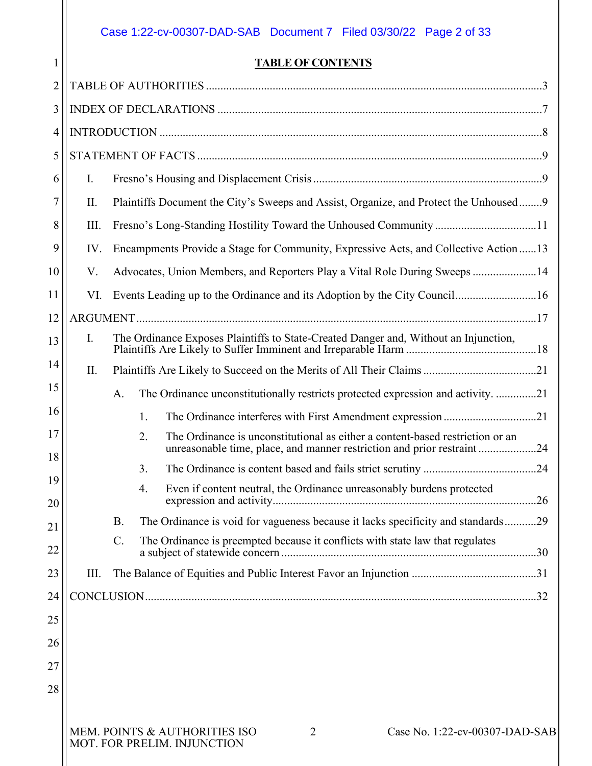# Case 1:22-cv-00307-DAD-SAB Document 7 Filed 03/30/22 Page 2 of 33

1

# **TABLE OF CONTENTS**

| $\overline{2}$ |      |                                                                                       |    |                                                                                                                                                         |  |
|----------------|------|---------------------------------------------------------------------------------------|----|---------------------------------------------------------------------------------------------------------------------------------------------------------|--|
| 3              |      |                                                                                       |    |                                                                                                                                                         |  |
| $\overline{4}$ |      |                                                                                       |    |                                                                                                                                                         |  |
| 5              |      |                                                                                       |    |                                                                                                                                                         |  |
| 6              | Ι.   |                                                                                       |    |                                                                                                                                                         |  |
| 7              | II.  |                                                                                       |    | Plaintiffs Document the City's Sweeps and Assist, Organize, and Protect the Unhoused9                                                                   |  |
| 8              | III. |                                                                                       |    |                                                                                                                                                         |  |
| 9              | IV.  | Encampments Provide a Stage for Community, Expressive Acts, and Collective Action  13 |    |                                                                                                                                                         |  |
| 10             | V.   | Advocates, Union Members, and Reporters Play a Vital Role During Sweeps 14            |    |                                                                                                                                                         |  |
| 11             | VI.  | Events Leading up to the Ordinance and its Adoption by the City Council16             |    |                                                                                                                                                         |  |
| 12             |      |                                                                                       |    |                                                                                                                                                         |  |
| 13             | I.   | The Ordinance Exposes Plaintiffs to State-Created Danger and, Without an Injunction,  |    |                                                                                                                                                         |  |
| 14             | П.   |                                                                                       |    |                                                                                                                                                         |  |
| 15             |      | A.                                                                                    |    | The Ordinance unconstitutionally restricts protected expression and activity21                                                                          |  |
| 16             |      |                                                                                       | 1. |                                                                                                                                                         |  |
| 17             |      |                                                                                       | 2. | The Ordinance is unconstitutional as either a content-based restriction or an<br>unreasonable time, place, and manner restriction and prior restraint24 |  |
| 18             |      |                                                                                       | 3. |                                                                                                                                                         |  |
| 19<br>20       |      |                                                                                       | 4. | Even if content neutral, the Ordinance unreasonably burdens protected                                                                                   |  |
| 21             |      | <b>B.</b>                                                                             |    | The Ordinance is void for vagueness because it lacks specificity and standards29                                                                        |  |
| 22             |      | C.                                                                                    |    | The Ordinance is preempted because it conflicts with state law that regulates                                                                           |  |
| 23             | III. |                                                                                       |    |                                                                                                                                                         |  |
| 24             |      |                                                                                       |    |                                                                                                                                                         |  |
| 25             |      |                                                                                       |    |                                                                                                                                                         |  |
| 26             |      |                                                                                       |    |                                                                                                                                                         |  |
| 27             |      |                                                                                       |    |                                                                                                                                                         |  |
| 28             |      |                                                                                       |    |                                                                                                                                                         |  |
|                |      |                                                                                       |    |                                                                                                                                                         |  |
|                |      |                                                                                       |    | MEM. POINTS & AUTHORITIES ISO<br>Case No. 1:22-cv-00307-DAD-SAB<br>2<br>MOT. FOR PRELIM. INJUNCTION                                                     |  |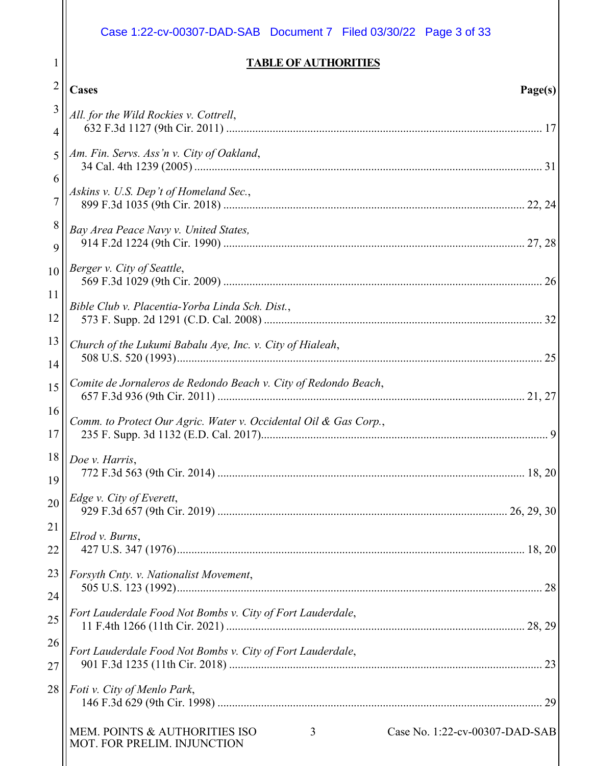<span id="page-2-0"></span>

|                | Case 1:22-cv-00307-DAD-SAB Document 7 Filed 03/30/22 Page 3 of 33                                   |
|----------------|-----------------------------------------------------------------------------------------------------|
|                | <b>TABLE OF AUTHORITIES</b>                                                                         |
| $\overline{2}$ | <b>Cases</b><br>Page(s)                                                                             |
| 3<br>4         | All. for the Wild Rockies v. Cottrell,                                                              |
| 5<br>6         | Am. Fin. Servs. Ass'n v. City of Oakland,                                                           |
| $\overline{7}$ | Askins v. U.S. Dep't of Homeland Sec.,                                                              |
| 8<br>9         | Bay Area Peace Navy v. United States,                                                               |
| 10<br>11       | Berger v. City of Seattle,                                                                          |
| 12             | Bible Club v. Placentia-Yorba Linda Sch. Dist.,                                                     |
| 13<br>14       | Church of the Lukumi Babalu Aye, Inc. v. City of Hialeah,                                           |
| 15             | Comite de Jornaleros de Redondo Beach v. City of Redondo Beach,                                     |
| 16<br>17       | Comm. to Protect Our Agric. Water v. Occidental Oil & Gas Corp.,<br>9                               |
| 18<br>19       | Doe v. Harris,                                                                                      |
| 20             | Edge v. City of Everett,                                                                            |
| 21<br>22       | Elrod v. Burns,                                                                                     |
| 23<br>24       | Forsyth Cnty. v. Nationalist Movement,                                                              |
| 25             | Fort Lauderdale Food Not Bombs v. City of Fort Lauderdale,                                          |
| 26<br>27       | Fort Lauderdale Food Not Bombs v. City of Fort Lauderdale,                                          |
| 28             | Foti v. City of Menlo Park,                                                                         |
|                | MEM. POINTS & AUTHORITIES ISO<br>Case No. 1:22-cv-00307-DAD-SAB<br>3<br>MOT. FOR PRELIM. INJUNCTION |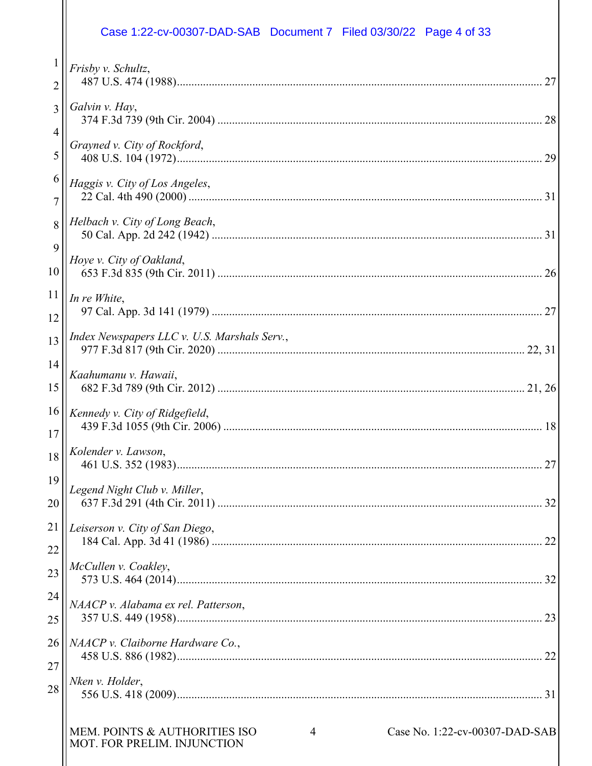# Case 1:22-cv-00307-DAD-SAB Document 7 Filed 03/30/22 Page 4 of 33

|                | Frisby v. Schultz,                                                                                  |
|----------------|-----------------------------------------------------------------------------------------------------|
| 2              | 27                                                                                                  |
| $\overline{3}$ | Galvin v. Hay,<br>28                                                                                |
| 4              |                                                                                                     |
| 5              | Grayned v. City of Rockford,<br>29                                                                  |
| 6              | Haggis v. City of Los Angeles,                                                                      |
| $\overline{7}$ |                                                                                                     |
| 8              | Helbach v. City of Long Beach,                                                                      |
| 9              | Hoye v. City of Oakland,                                                                            |
| 10             | 26                                                                                                  |
| 11             | In re White,                                                                                        |
| 12             |                                                                                                     |
| 13             | Index Newspapers LLC v. U.S. Marshals Serv.,                                                        |
| 14             | Kaahumanu v. Hawaii,                                                                                |
| 15             |                                                                                                     |
| 16             | Kennedy v. City of Ridgefield,<br>18                                                                |
| 17             |                                                                                                     |
| 18             | Kolender v. Lawson,<br>27                                                                           |
| 19             | Legend Night Club v. Miller,                                                                        |
| 20             |                                                                                                     |
| 21             | Leiserson v. City of San Diego,                                                                     |
| 22             |                                                                                                     |
| 23             | McCullen v. Coakley,                                                                                |
| 24             | NAACP v. Alabama ex rel. Patterson,                                                                 |
| 25             |                                                                                                     |
| 26             | NAACP v. Claiborne Hardware Co.,                                                                    |
| 27             |                                                                                                     |
| 28             | Nken v. Holder,                                                                                     |
|                |                                                                                                     |
|                | MEM. POINTS & AUTHORITIES ISO<br>Case No. 1:22-cv-00307-DAD-SAB<br>4<br>MOT. FOR PRELIM. INJUNCTION |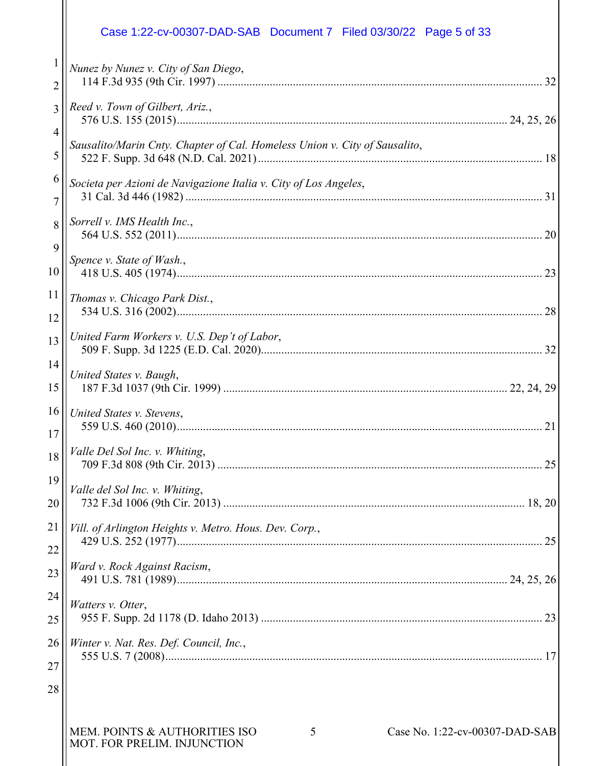#### 1 2 3 4 5 6 7 8 9 10 11 12 13 14 15 16 17 18 19 20 21 22 23 24 25 *Nunez by Nunez v. City of San Diego*, 114 F.3d 935 (9th Cir. 1997) ................................................................................................................ [32](#page-31-3) *Reed v. Town of Gilbert, Ariz.*, 576 U.S. 155 (2015).................................................................................................................. [24,](#page-23-3) [25,](#page-23-4) [26](#page-25-4) *Sausalito/Marin Cnty. Chapter of Cal. Homeless Union v. City of Sausalito*, 522 F. Supp. 3d 648 (N.D. Cal. 2021).................................................................................................. [18](#page-17-4) *Societa per Azioni de Navigazione Italia v. City of Los Angeles*, 31 Cal. 3d 446 (1982) ........................................................................................................................... [31](#page-30-5) *Sorrell v. IMS Health Inc.*, 564 U.S. 552 (2011).............................................................................................................................. [20](#page-19-2) *Spence v. State of Wash.*, 418 U.S. 405 (1974).............................................................................................................................. [23](#page-22-1) *Thomas v. Chicago Park Dist.*, 534 U.S. 316 (2002).............................................................................................................................. [28](#page-27-4) *United Farm Workers v. U.S. Dep't of Labor*, 509 F. Supp. 3d 1225 (E.D. Cal. 2020)................................................................................................. 32 *United States v. Baugh*, 187 F.3d 1037 (9th Cir. 1999) .................................................................................................. [22,](#page-21-4) [24,](#page-23-5) [29](#page-28-4) *United States v. Stevens*, 559 U.S. 460 (2010).............................................................................................................................. [21](#page-20-5) *Valle Del Sol Inc. v. Whiting*, 709 F.3d 808 (9th Cir. 2013) ................................................................................................................ [25](#page-24-1) *Valle del Sol Inc. v. Whiting*, 732 F.3d 1006 (9th Cir. 2013) ........................................................................................................ [18,](#page-17-5) [20](#page-19-3) *Vill. of Arlington Heights v. Metro. Hous. Dev. Corp.*, 429 U.S. 252 (1977).............................................................................................................................. [25](#page-24-2) *Ward v. Rock Against Racism*, 491 U.S. 781 (1989).................................................................................................................. [24,](#page-23-6) [25,](#page-24-3) [26](#page-25-5) *Watters v. Otter*, 955 F. Supp. 2d 1178 (D. Idaho 2013) ................................................................................................. [23](#page-22-2) Case 1:22-cv-00307-DAD-SAB Document 7 Filed 03/30/22 Page 5 of 33

26 27 *Winter v. Nat. Res. Def. Council, Inc.*, 555 U.S. 7 (2008).................................................................................................................................. [17](#page-16-2)

28

MOT. FOR PRELIM. INJUNCTION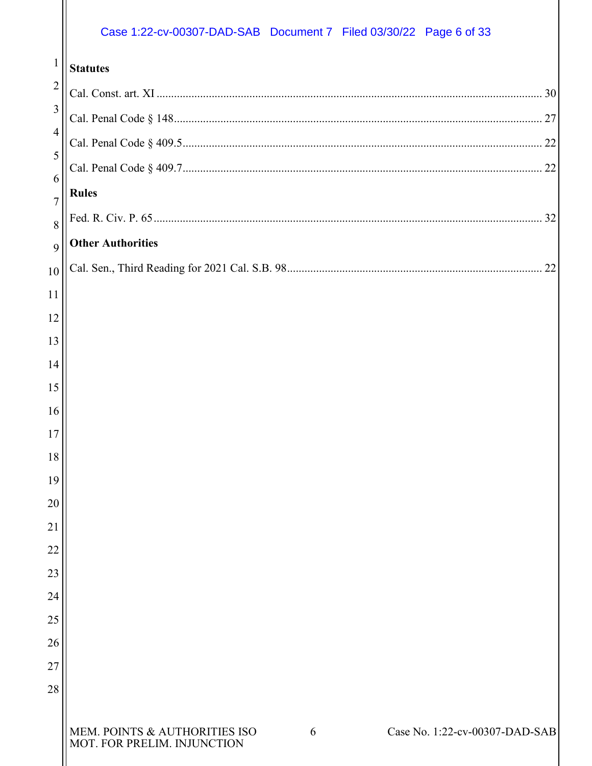# Case 1:22-cv-00307-DAD-SAB Document 7 Filed 03/30/22 Page 6 of 33

| $\mathbf{1}$    | <b>Statutes</b>                                                                                  |
|-----------------|--------------------------------------------------------------------------------------------------|
| $\overline{2}$  |                                                                                                  |
| $\mathfrak{Z}$  |                                                                                                  |
| $\overline{4}$  |                                                                                                  |
| 5               |                                                                                                  |
| 6<br>7          | <b>Rules</b>                                                                                     |
| 8               |                                                                                                  |
| 9               | <b>Other Authorities</b>                                                                         |
| 10              | 22                                                                                               |
| 11              |                                                                                                  |
| 12              |                                                                                                  |
| 13              |                                                                                                  |
| 14              |                                                                                                  |
| 15              |                                                                                                  |
| 16              |                                                                                                  |
| 17<br>18        |                                                                                                  |
| 19              |                                                                                                  |
| 20              |                                                                                                  |
| $\overline{21}$ |                                                                                                  |
| 22              |                                                                                                  |
| 23              |                                                                                                  |
| 24              |                                                                                                  |
| 25              |                                                                                                  |
| 26              |                                                                                                  |
| 27              |                                                                                                  |
| 28              |                                                                                                  |
|                 | MEM. POINTS & AUTHORITIES ISO MOT. FOR PRELIM. INJUNCTION<br>Case No. 1:22-cv-00307-DAD-SAB<br>6 |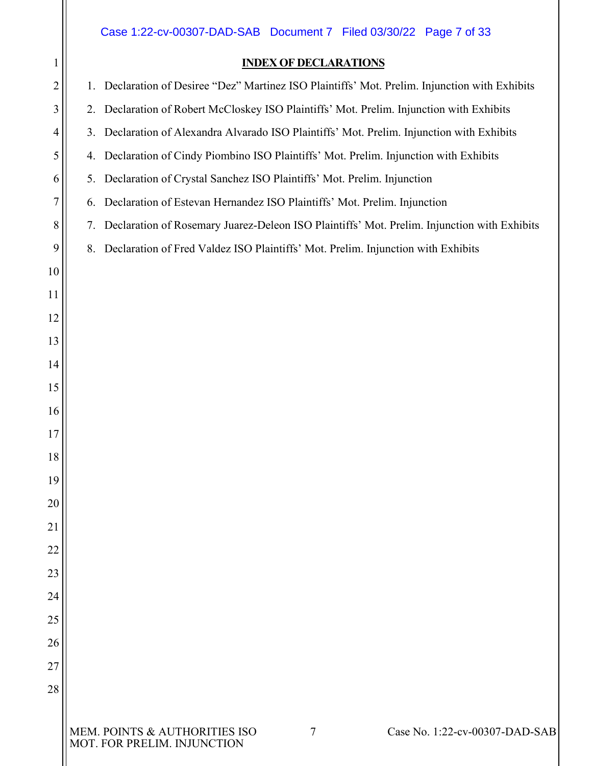# <span id="page-6-0"></span>MEM. POINTS & AUTHORITIES ISO Case No. 1:22-cv-00307-DAD-SAB MOT. FOR PRELIM. INJUNCTION **INDEX OF DECLARATIONS** 1. Declaration of Desiree "Dez" Martinez ISO Plaintiffs' Mot. Prelim. Injunction with Exhibits 2. Declaration of Robert McCloskey ISO Plaintiffs' Mot. Prelim. Injunction with Exhibits 3. Declaration of Alexandra Alvarado ISO Plaintiffs' Mot. Prelim. Injunction with Exhibits 4. Declaration of Cindy Piombino ISO Plaintiffs' Mot. Prelim. Injunction with Exhibits 5. Declaration of Crystal Sanchez ISO Plaintiffs' Mot. Prelim. Injunction 6. Declaration of Estevan Hernandez ISO Plaintiffs' Mot. Prelim. Injunction 7. Declaration of Rosemary Juarez-Deleon ISO Plaintiffs' Mot. Prelim. Injunction with Exhibits 8. Declaration of Fred Valdez ISO Plaintiffs' Mot. Prelim. Injunction with Exhibits Case 1:22-cv-00307-DAD-SAB Document 7 Filed 03/30/22 Page 7 of 33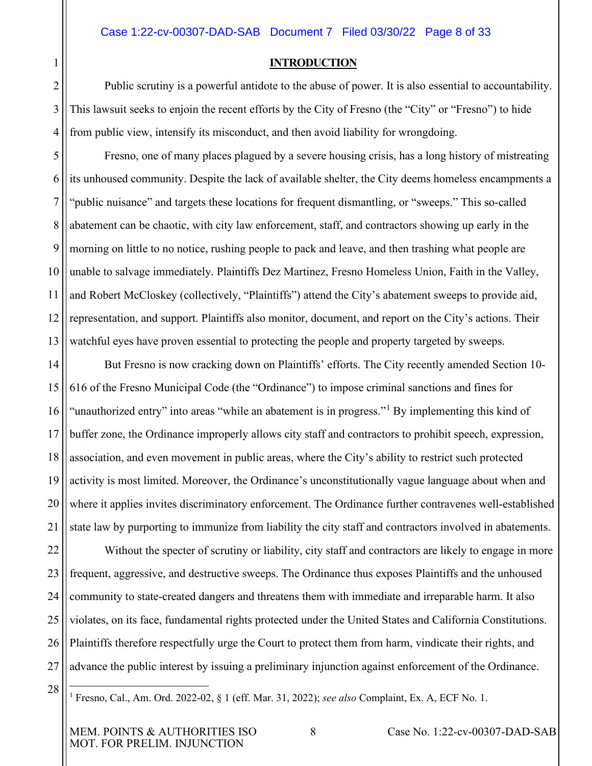#### **INTRODUCTION**

2 3 4 Public scrutiny is a powerful antidote to the abuse of power. It is also essential to accountability. This lawsuit seeks to enjoin the recent efforts by the City of Fresno (the "City" or "Fresno") to hide from public view, intensify its misconduct, and then avoid liability for wrongdoing.

5 6 7 8 9 10 11 12 13 Fresno, one of many places plagued by a severe housing crisis, has a long history of mistreating its unhoused community. Despite the lack of available shelter, the City deems homeless encampments a "public nuisance" and targets these locations for frequent dismantling, or "sweeps." This so-called abatement can be chaotic, with city law enforcement, staff, and contractors showing up early in the morning on little to no notice, rushing people to pack and leave, and then trashing what people are unable to salvage immediately. Plaintiffs Dez Martinez, Fresno Homeless Union, Faith in the Valley, and Robert McCloskey (collectively, "Plaintiffs") attend the City's abatement sweeps to provide aid, representation, and support. Plaintiffs also monitor, document, and report on the City's actions. Their watchful eyes have proven essential to protecting the people and property targeted by sweeps.

14 15 16 17 18 19 20 21 But Fresno is now cracking down on Plaintiffs' efforts. The City recently amended Section 10- 616 of the Fresno Municipal Code (the "Ordinance") to impose criminal sanctions and fines for "unauthorized entry" into areas "while an abatement is in progress."<sup>[1](#page-7-1)</sup> By implementing this kind of buffer zone, the Ordinance improperly allows city staff and contractors to prohibit speech, expression, association, and even movement in public areas, where the City's ability to restrict such protected activity is most limited. Moreover, the Ordinance's unconstitutionally vague language about when and where it applies invites discriminatory enforcement. The Ordinance further contravenes well-established state law by purporting to immunize from liability the city staff and contractors involved in abatements.

22 23 24 25 26 27 Without the specter of scrutiny or liability, city staff and contractors are likely to engage in more frequent, aggressive, and destructive sweeps. The Ordinance thus exposes Plaintiffs and the unhoused community to state-created dangers and threatens them with immediate and irreparable harm. It also violates, on its face, fundamental rights protected under the United States and California Constitutions. Plaintiffs therefore respectfully urge the Court to protect them from harm, vindicate their rights, and advance the public interest by issuing a preliminary injunction against enforcement of the Ordinance.

<span id="page-7-1"></span>28

<span id="page-7-0"></span>1

<sup>1</sup> Fresno, Cal., Am. Ord. 2022-02, § 1 (eff. Mar. 31, 2022); *see also* Complaint, Ex. A, ECF No. 1.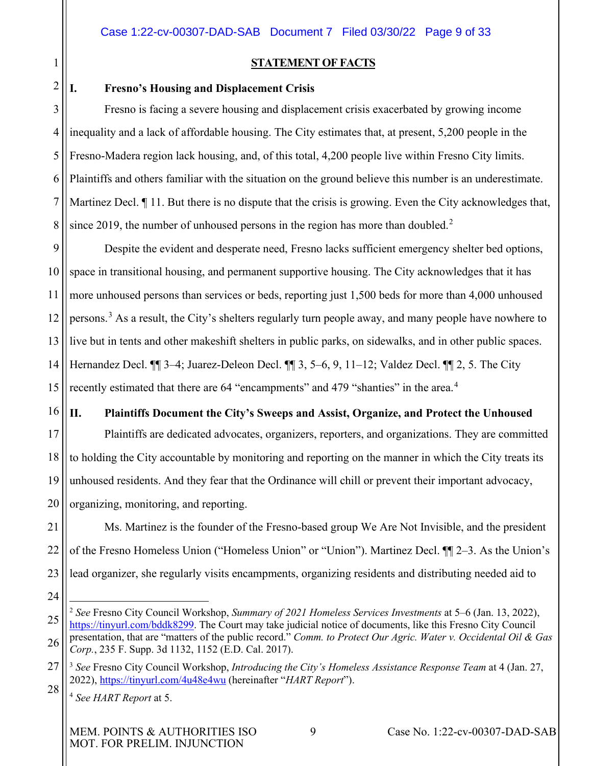<span id="page-8-0"></span>1 2

#### **STATEMENT OF FACTS**

#### <span id="page-8-1"></span>**I. Fresno's Housing and Displacement Crisis**

3 4 5 6 7 8 Fresno is facing a severe housing and displacement crisis exacerbated by growing income inequality and a lack of affordable housing. The City estimates that, at present, 5,200 people in the Fresno-Madera region lack housing, and, of this total, 4,200 people live within Fresno City limits. Plaintiffs and others familiar with the situation on the ground believe this number is an underestimate. Martinez Decl.  $\P$  11. But there is no dispute that the crisis is growing. Even the City acknowledges that, since [2](#page-8-4)019, the number of unhoused persons in the region has more than doubled.<sup>2</sup>

9 10 11 12 13 14 15 Despite the evident and desperate need, Fresno lacks sufficient emergency shelter bed options, space in transitional housing, and permanent supportive housing. The City acknowledges that it has more unhoused persons than services or beds, reporting just 1,500 beds for more than 4,000 unhoused persons.<sup>[3](#page-8-5)</sup> As a result, the City's shelters regularly turn people away, and many people have nowhere to live but in tents and other makeshift shelters in public parks, on sidewalks, and in other public spaces. Hernandez Decl. ¶¶ 3–4; Juarez-Deleon Decl. ¶¶ 3, 5–6, 9, 11–12; Valdez Decl. ¶¶ 2, 5. The City recently estimated that there are 6[4](#page-8-6) "encampments" and 479 "shanties" in the area.<sup>4</sup>

16

#### <span id="page-8-2"></span>**II. Plaintiffs Document the City's Sweeps and Assist, Organize, and Protect the Unhoused**

17 18 19 20 Plaintiffs are dedicated advocates, organizers, reporters, and organizations. They are committed to holding the City accountable by monitoring and reporting on the manner in which the City treats its unhoused residents. And they fear that the Ordinance will chill or prevent their important advocacy, organizing, monitoring, and reporting.

21 22 23 Ms. Martinez is the founder of the Fresno-based group We Are Not Invisible, and the president of the Fresno Homeless Union ("Homeless Union" or "Union"). Martinez Decl. ¶¶ 2–3. As the Union's lead organizer, she regularly visits encampments, organizing residents and distributing needed aid to

<sup>24</sup>

<span id="page-8-4"></span><sup>25</sup> 26 <sup>2</sup> *See* Fresno City Council Workshop, *Summary of 2021 Homeless Services Investments* at 5–6 (Jan. 13, 2022), [https://tinyurl.com/bddk8299.](https://tinyurl.com/bddk8299) The Court may take judicial notice of documents, like this Fresno City Council presentation, that are "matters of the public record." *Comm. to Protect Our Agric. Water v. Occidental Oil & Gas Corp.*, 235 F. Supp. 3d 1132, 1152 (E.D. Cal. 2017).

<span id="page-8-6"></span><span id="page-8-5"></span><sup>27</sup> 28 <sup>3</sup> *See* Fresno City Council Workshop, *Introducing the City's Homeless Assistance Response Team* at 4 (Jan. 27, 2022),<https://tinyurl.com/4u48e4wu> (hereinafter "*HART Report*").

<span id="page-8-3"></span><sup>4</sup> *See HART Report* at 5.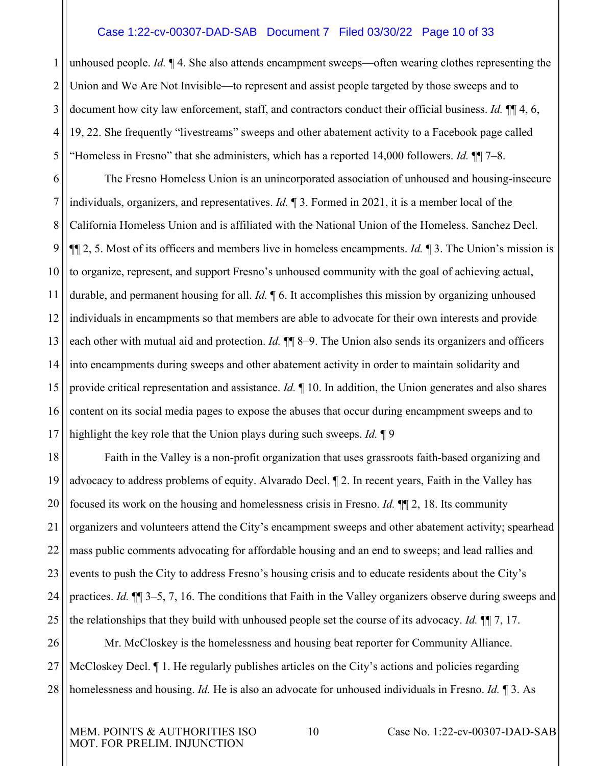#### Case 1:22-cv-00307-DAD-SAB Document 7 Filed 03/30/22 Page 10 of 33

1 2 3 4 5 unhoused people. *Id.* ¶ 4. She also attends encampment sweeps—often wearing clothes representing the Union and We Are Not Invisible—to represent and assist people targeted by those sweeps and to document how city law enforcement, staff, and contractors conduct their official business. *Id.* ¶¶ 4, 6, 19, 22. She frequently "livestreams" sweeps and other abatement activity to a Facebook page called "Homeless in Fresno" that she administers, which has a reported 14,000 followers. *Id.* ¶¶ 7–8.

6 7 8 9 10 11 12 13 14 15 16 17 The Fresno Homeless Union is an unincorporated association of unhoused and housing-insecure individuals, organizers, and representatives. *Id.* ¶ 3. Formed in 2021, it is a member local of the California Homeless Union and is affiliated with the National Union of the Homeless. Sanchez Decl. ¶¶ 2, 5. Most of its officers and members live in homeless encampments. *Id.* ¶ 3. The Union's mission is to organize, represent, and support Fresno's unhoused community with the goal of achieving actual, durable, and permanent housing for all. *Id.* ¶ 6. It accomplishes this mission by organizing unhoused individuals in encampments so that members are able to advocate for their own interests and provide each other with mutual aid and protection. *Id*.  $\P\P$  8–9. The Union also sends its organizers and officers into encampments during sweeps and other abatement activity in order to maintain solidarity and provide critical representation and assistance. *Id.* ¶ 10. In addition, the Union generates and also shares content on its social media pages to expose the abuses that occur during encampment sweeps and to highlight the key role that the Union plays during such sweeps. *Id.* ¶ 9

18 19 20 21 22 23 24 25 Faith in the Valley is a non-profit organization that uses grassroots faith-based organizing and advocacy to address problems of equity. Alvarado Decl. ¶ 2. In recent years, Faith in the Valley has focused its work on the housing and homelessness crisis in Fresno. *Id.* ¶¶ 2, 18. Its community organizers and volunteers attend the City's encampment sweeps and other abatement activity; spearhead mass public comments advocating for affordable housing and an end to sweeps; and lead rallies and events to push the City to address Fresno's housing crisis and to educate residents about the City's practices. *Id.* ¶¶ 3–5, 7, 16. The conditions that Faith in the Valley organizers observe during sweeps and the relationships that they build with unhoused people set the course of its advocacy. *Id.* ¶¶ 7, 17.

26 27 28 Mr. McCloskey is the homelessness and housing beat reporter for Community Alliance. McCloskey Decl.  $\P$  1. He regularly publishes articles on the City's actions and policies regarding homelessness and housing. *Id.* He is also an advocate for unhoused individuals in Fresno. *Id.* ¶ 3. As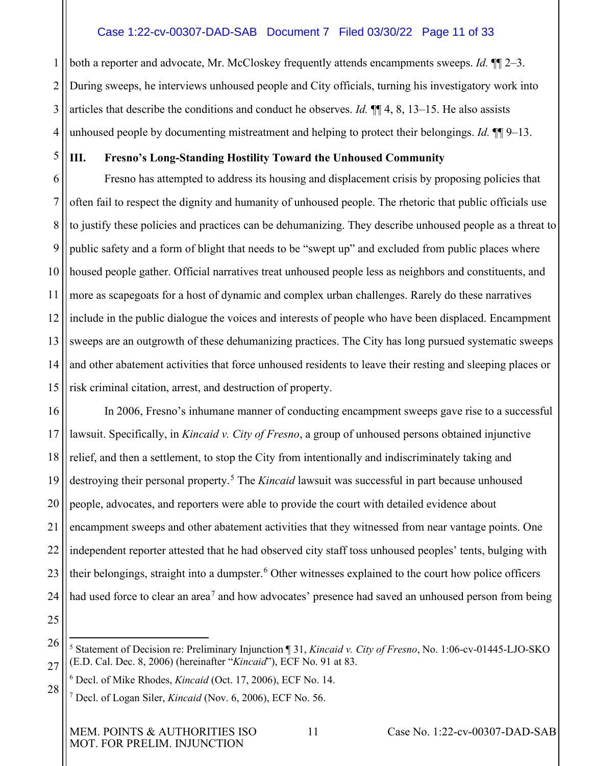# Case 1:22-cv-00307-DAD-SAB Document 7 Filed 03/30/22 Page 11 of 33

1 2 3 4 both a reporter and advocate, Mr. McCloskey frequently attends encampments sweeps. *Id.* ¶¶ 2–3. During sweeps, he interviews unhoused people and City officials, turning his investigatory work into articles that describe the conditions and conduct he observes. *Id.* ¶¶ 4, 8, 13–15. He also assists unhoused people by documenting mistreatment and helping to protect their belongings. *Id.* ¶¶ 9–13.

5

# <span id="page-10-0"></span>**III. Fresno's Long-Standing Hostility Toward the Unhoused Community**

6 7 8 9 10 11 12 13 14 15 Fresno has attempted to address its housing and displacement crisis by proposing policies that often fail to respect the dignity and humanity of unhoused people. The rhetoric that public officials use to justify these policies and practices can be dehumanizing. They describe unhoused people as a threat to public safety and a form of blight that needs to be "swept up" and excluded from public places where housed people gather. Official narratives treat unhoused people less as neighbors and constituents, and more as scapegoats for a host of dynamic and complex urban challenges. Rarely do these narratives include in the public dialogue the voices and interests of people who have been displaced. Encampment sweeps are an outgrowth of these dehumanizing practices. The City has long pursued systematic sweeps and other abatement activities that force unhoused residents to leave their resting and sleeping places or risk criminal citation, arrest, and destruction of property.

16 17 18 19 20 21 22 23 24 In 2006, Fresno's inhumane manner of conducting encampment sweeps gave rise to a successful lawsuit. Specifically, in *Kincaid v. City of Fresno*, a group of unhoused persons obtained injunctive relief, and then a settlement, to stop the City from intentionally and indiscriminately taking and destroying their personal property.<sup>[5](#page-10-1)</sup> The *Kincaid* lawsuit was successful in part because unhoused people, advocates, and reporters were able to provide the court with detailed evidence about encampment sweeps and other abatement activities that they witnessed from near vantage points. One independent reporter attested that he had observed city staff toss unhoused peoples' tents, bulging with their belongings, straight into a dumpster.<sup>[6](#page-10-2)</sup> Other witnesses explained to the court how police officers had used force to clear an area<sup>[7](#page-10-3)</sup> and how advocates' presence had saved an unhoused person from being

25

<span id="page-10-3"></span><span id="page-10-2"></span>28

MEM. POINTS & AUTHORITIES ISO 11 Case No. 1:22-cv-00307-DAD-SAB MOT. FOR PRELIM. INJUNCTION

<span id="page-10-1"></span><sup>26</sup> 27 <sup>5</sup> Statement of Decision re: Preliminary Injunction ¶ 31, *Kincaid v. City of Fresno*, No. 1:06-cv-01445-LJO-SKO (E.D. Cal. Dec. 8, 2006) (hereinafter "*Kincaid*"), ECF No. 91 at 83.

<sup>6</sup> Decl. of Mike Rhodes, *Kincaid* (Oct. 17, 2006), ECF No. 14.

<sup>7</sup> Decl. of Logan Siler, *Kincaid* (Nov. 6, 2006), ECF No. 56.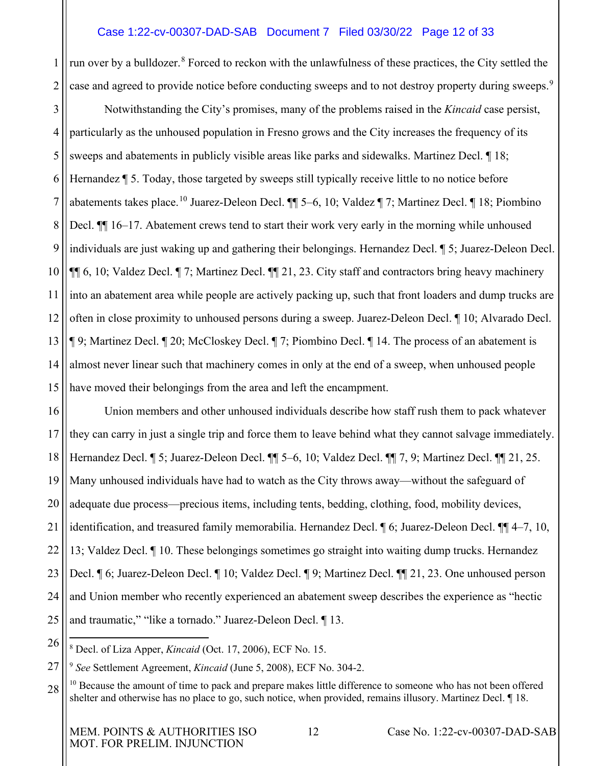# Case 1:22-cv-00307-DAD-SAB Document 7 Filed 03/30/22 Page 12 of 33

1 2 run over by a bulldozer.<sup>[8](#page-11-0)</sup> Forced to reckon with the unlawfulness of these practices, the City settled the case and agreed to provide notice before conducting sweeps and to not destroy property during sweeps.<sup>[9](#page-11-1)</sup>

3 4 5 6 7 8 9 10 11 12 13 14 15 Notwithstanding the City's promises, many of the problems raised in the *Kincaid* case persist, particularly as the unhoused population in Fresno grows and the City increases the frequency of its sweeps and abatements in publicly visible areas like parks and sidewalks. Martinez Decl. ¶ 18; Hernandez ¶ 5. Today, those targeted by sweeps still typically receive little to no notice before abatements takes place.[10](#page-11-2) Juarez-Deleon Decl. ¶¶ 5–6, 10; Valdez ¶ 7; Martinez Decl. ¶ 18; Piombino Decl. ¶¶ 16–17. Abatement crews tend to start their work very early in the morning while unhoused individuals are just waking up and gathering their belongings. Hernandez Decl. ¶ 5; Juarez-Deleon Decl. ¶¶ 6, 10; Valdez Decl. ¶ 7; Martinez Decl. ¶¶ 21, 23. City staff and contractors bring heavy machinery into an abatement area while people are actively packing up, such that front loaders and dump trucks are often in close proximity to unhoused persons during a sweep. Juarez-Deleon Decl. ¶ 10; Alvarado Decl. ¶ 9; Martinez Decl. ¶ 20; McCloskey Decl. ¶ 7; Piombino Decl. ¶ 14. The process of an abatement is almost never linear such that machinery comes in only at the end of a sweep, when unhoused people have moved their belongings from the area and left the encampment.

16 17 18 19 20 21 22 23 24 25 Union members and other unhoused individuals describe how staff rush them to pack whatever they can carry in just a single trip and force them to leave behind what they cannot salvage immediately. Hernandez Decl. ¶ 5; Juarez-Deleon Decl. ¶¶ 5–6, 10; Valdez Decl. ¶¶ 7, 9; Martinez Decl. ¶¶ 21, 25. Many unhoused individuals have had to watch as the City throws away—without the safeguard of adequate due process—precious items, including tents, bedding, clothing, food, mobility devices, identification, and treasured family memorabilia. Hernandez Decl. ¶ 6; Juarez-Deleon Decl. ¶¶ 4–7, 10, 13; Valdez Decl. ¶ 10. These belongings sometimes go straight into waiting dump trucks. Hernandez Decl. ¶ 6; Juarez-Deleon Decl. ¶ 10; Valdez Decl. ¶ 9; Martinez Decl. ¶¶ 21, 23. One unhoused person and Union member who recently experienced an abatement sweep describes the experience as "hectic and traumatic," "like a tornado." Juarez-Deleon Decl. ¶ 13.

<span id="page-11-0"></span>26 <sup>8</sup> Decl. of Liza Apper, *Kincaid* (Oct. 17, 2006), ECF No. 15.

<span id="page-11-1"></span>27 <sup>9</sup> *See* Settlement Agreement, *Kincaid* (June 5, 2008), ECF No. 304-2.

<span id="page-11-2"></span>28 <sup>10</sup> Because the amount of time to pack and prepare makes little difference to someone who has not been offered shelter and otherwise has no place to go, such notice, when provided, remains illusory. Martinez Decl. ¶ 18.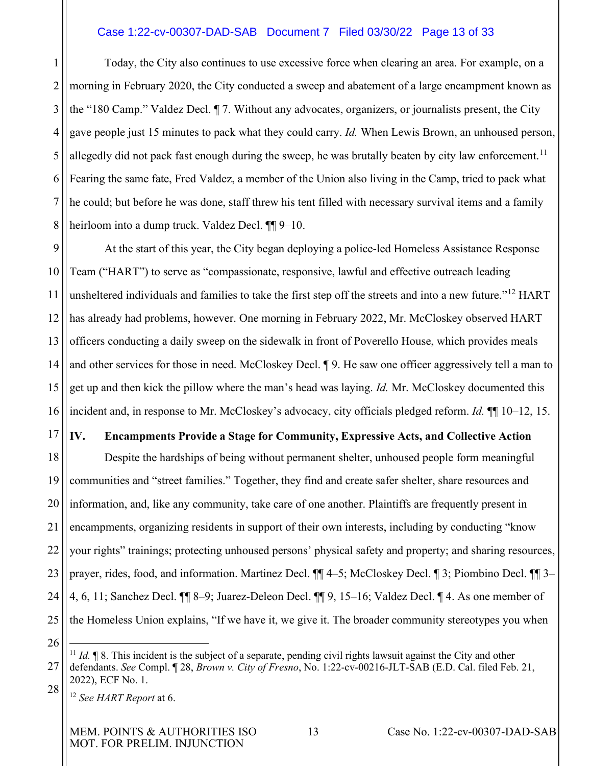### Case 1:22-cv-00307-DAD-SAB Document 7 Filed 03/30/22 Page 13 of 33

1 2 3 4 5 6 7 8 Today, the City also continues to use excessive force when clearing an area. For example, on a morning in February 2020, the City conducted a sweep and abatement of a large encampment known as the "180 Camp." Valdez Decl. ¶ 7. Without any advocates, organizers, or journalists present, the City gave people just 15 minutes to pack what they could carry. *Id.* When Lewis Brown, an unhoused person, allegedly did not pack fast enough during the sweep, he was brutally beaten by city law enforcement.<sup>[11](#page-12-1)</sup> Fearing the same fate, Fred Valdez, a member of the Union also living in the Camp, tried to pack what he could; but before he was done, staff threw his tent filled with necessary survival items and a family heirloom into a dump truck. Valdez Decl.  $\P\P$  9–10.

9 10 11 12 13 14 15 16 At the start of this year, the City began deploying a police-led Homeless Assistance Response Team ("HART") to serve as "compassionate, responsive, lawful and effective outreach leading unsheltered individuals and families to take the first step off the streets and into a new future."<sup>[12](#page-12-2)</sup> HART has already had problems, however. One morning in February 2022, Mr. McCloskey observed HART officers conducting a daily sweep on the sidewalk in front of Poverello House, which provides meals and other services for those in need. McCloskey Decl. ¶ 9. He saw one officer aggressively tell a man to get up and then kick the pillow where the man's head was laying. *Id.* Mr. McCloskey documented this incident and, in response to Mr. McCloskey's advocacy, city officials pledged reform. *Id.* ¶¶ 10–12, 15.

# <span id="page-12-0"></span>**IV. Encampments Provide a Stage for Community, Expressive Acts, and Collective Action**

18 19 20 21 22 23 24 25 Despite the hardships of being without permanent shelter, unhoused people form meaningful communities and "street families." Together, they find and create safer shelter, share resources and information, and, like any community, take care of one another. Plaintiffs are frequently present in encampments, organizing residents in support of their own interests, including by conducting "know your rights" trainings; protecting unhoused persons' physical safety and property; and sharing resources, prayer, rides, food, and information. Martinez Decl.  $\P$  4–5; McCloskey Decl.  $\P$  3; Piombino Decl.  $\P$  3– 4, 6, 11; Sanchez Decl. ¶¶ 8–9; Juarez-Deleon Decl. ¶¶ 9, 15–16; Valdez Decl. ¶ 4. As one member of the Homeless Union explains, "If we have it, we give it. The broader community stereotypes you when

26

<span id="page-12-1"></span><sup>27</sup> 28 <sup>11</sup> *Id.*  $\blacksquare$  8. This incident is the subject of a separate, pending civil rights lawsuit against the City and other defendants. *See* Compl. ¶ 28, *Brown v. City of Fresno*, No. 1:22-cv-00216-JLT-SAB (E.D. Cal. filed Feb. 21, 2022), ECF No. 1.

<span id="page-12-2"></span><sup>12</sup> *See HART Report* at 6.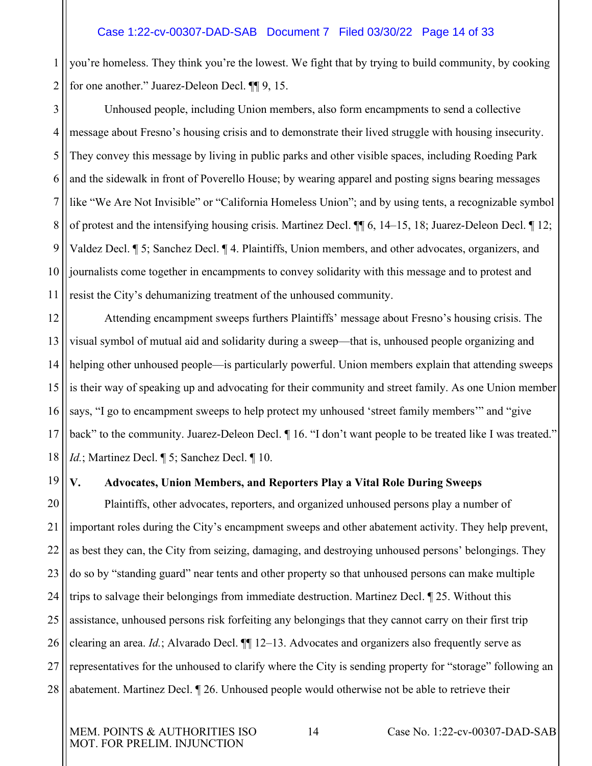1 2 you're homeless. They think you're the lowest. We fight that by trying to build community, by cooking for one another." Juarez-Deleon Decl. ¶¶ 9, 15.

3 4 5 6 7 8 9 10 11 Unhoused people, including Union members, also form encampments to send a collective message about Fresno's housing crisis and to demonstrate their lived struggle with housing insecurity. They convey this message by living in public parks and other visible spaces, including Roeding Park and the sidewalk in front of Poverello House; by wearing apparel and posting signs bearing messages like "We Are Not Invisible" or "California Homeless Union"; and by using tents, a recognizable symbol of protest and the intensifying housing crisis. Martinez Decl. ¶¶ 6, 14–15, 18; Juarez-Deleon Decl. ¶ 12; Valdez Decl. ¶ 5; Sanchez Decl. ¶ 4. Plaintiffs, Union members, and other advocates, organizers, and journalists come together in encampments to convey solidarity with this message and to protest and resist the City's dehumanizing treatment of the unhoused community.

12 13 14 15 16 17 18 Attending encampment sweeps furthers Plaintiffs' message about Fresno's housing crisis. The visual symbol of mutual aid and solidarity during a sweep—that is, unhoused people organizing and helping other unhoused people—is particularly powerful. Union members explain that attending sweeps is their way of speaking up and advocating for their community and street family. As one Union member says, "I go to encampment sweeps to help protect my unhoused 'street family members'" and "give back" to the community. Juarez-Deleon Decl.  $\P$  16. "I don't want people to be treated like I was treated." *Id.*; Martinez Decl. ¶ 5; Sanchez Decl. ¶ 10.

19

# <span id="page-13-0"></span>**V. Advocates, Union Members, and Reporters Play a Vital Role During Sweeps**

20 21 22 23 24 25 26 27 28 Plaintiffs, other advocates, reporters, and organized unhoused persons play a number of important roles during the City's encampment sweeps and other abatement activity. They help prevent, as best they can, the City from seizing, damaging, and destroying unhoused persons' belongings. They do so by "standing guard" near tents and other property so that unhoused persons can make multiple trips to salvage their belongings from immediate destruction. Martinez Decl. ¶ 25. Without this assistance, unhoused persons risk forfeiting any belongings that they cannot carry on their first trip clearing an area. *Id.*; Alvarado Decl. ¶¶ 12–13. Advocates and organizers also frequently serve as representatives for the unhoused to clarify where the City is sending property for "storage" following an abatement. Martinez Decl. ¶ 26. Unhoused people would otherwise not be able to retrieve their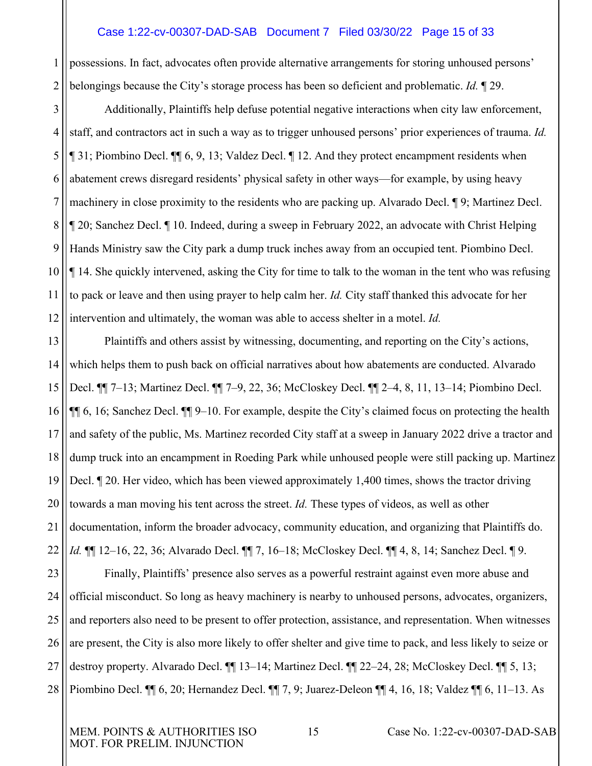#### Case 1:22-cv-00307-DAD-SAB Document 7 Filed 03/30/22 Page 15 of 33

1 2 possessions. In fact, advocates often provide alternative arrangements for storing unhoused persons' belongings because the City's storage process has been so deficient and problematic. *Id.* ¶ 29.

3 4 5 6 7 8 9 10 11 12 Additionally, Plaintiffs help defuse potential negative interactions when city law enforcement, staff, and contractors act in such a way as to trigger unhoused persons' prior experiences of trauma. *Id.* ¶ 31; Piombino Decl. ¶¶ 6, 9, 13; Valdez Decl. ¶ 12. And they protect encampment residents when abatement crews disregard residents' physical safety in other ways—for example, by using heavy machinery in close proximity to the residents who are packing up. Alvarado Decl. ¶ 9; Martinez Decl. ¶ 20; Sanchez Decl. ¶ 10. Indeed, during a sweep in February 2022, an advocate with Christ Helping Hands Ministry saw the City park a dump truck inches away from an occupied tent. Piombino Decl. ¶ 14. She quickly intervened, asking the City for time to talk to the woman in the tent who was refusing to pack or leave and then using prayer to help calm her. *Id.* City staff thanked this advocate for her intervention and ultimately, the woman was able to access shelter in a motel. *Id.*

13 14 15 16 17 18 19 20 21 22 23 24 25 26 Plaintiffs and others assist by witnessing, documenting, and reporting on the City's actions, which helps them to push back on official narratives about how abatements are conducted. Alvarado Decl. ¶¶ 7–13; Martinez Decl. ¶¶ 7–9, 22, 36; McCloskey Decl. ¶¶ 2–4, 8, 11, 13–14; Piombino Decl. ¶¶ 6, 16; Sanchez Decl. ¶¶ 9–10. For example, despite the City's claimed focus on protecting the health and safety of the public, Ms. Martinez recorded City staff at a sweep in January 2022 drive a tractor and dump truck into an encampment in Roeding Park while unhoused people were still packing up. Martinez Decl. ¶ 20. Her video, which has been viewed approximately 1,400 times, shows the tractor driving towards a man moving his tent across the street. *Id.* These types of videos, as well as other documentation, inform the broader advocacy, community education, and organizing that Plaintiffs do. *Id.* ¶¶ 12–16, 22, 36; Alvarado Decl. ¶¶ 7, 16–18; McCloskey Decl. ¶¶ 4, 8, 14; Sanchez Decl. ¶ 9. Finally, Plaintiffs' presence also serves as a powerful restraint against even more abuse and official misconduct. So long as heavy machinery is nearby to unhoused persons, advocates, organizers, and reporters also need to be present to offer protection, assistance, and representation. When witnesses are present, the City is also more likely to offer shelter and give time to pack, and less likely to seize or

28 Piombino Decl. ¶¶ 6, 20; Hernandez Decl. ¶¶ 7, 9; Juarez-Deleon ¶¶ 4, 16, 18; Valdez ¶¶ 6, 11–13. As

destroy property. Alvarado Decl. ¶¶ 13–14; Martinez Decl. ¶¶ 22–24, 28; McCloskey Decl. ¶¶ 5, 13;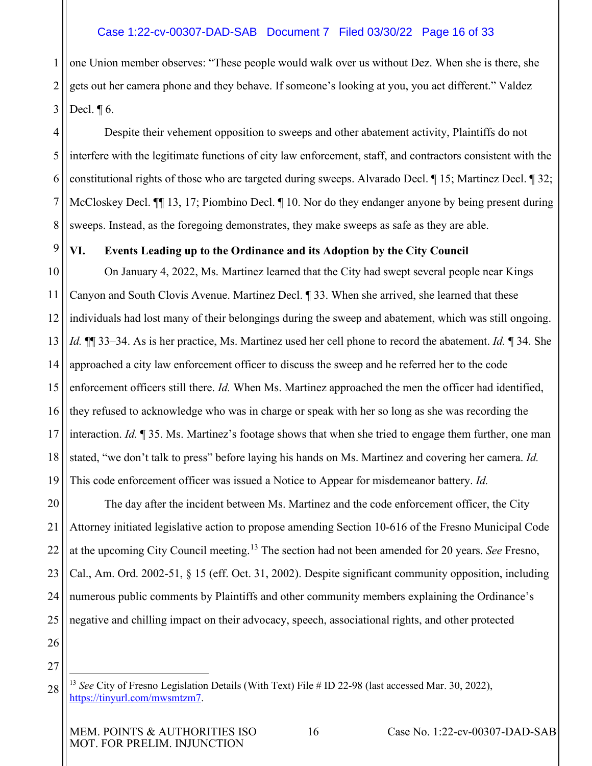# Case 1:22-cv-00307-DAD-SAB Document 7 Filed 03/30/22 Page 16 of 33

1 2 3 one Union member observes: "These people would walk over us without Dez. When she is there, she gets out her camera phone and they behave. If someone's looking at you, you act different." Valdez Decl. ¶ 6.

4 5 6 7 8 Despite their vehement opposition to sweeps and other abatement activity, Plaintiffs do not interfere with the legitimate functions of city law enforcement, staff, and contractors consistent with the constitutional rights of those who are targeted during sweeps. Alvarado Decl. ¶ 15; Martinez Decl. ¶ 32; McCloskey Decl.  $\P$  13, 17; Piombino Decl.  $\P$  10. Nor do they endanger anyone by being present during sweeps. Instead, as the foregoing demonstrates, they make sweeps as safe as they are able.

# <span id="page-15-0"></span>**VI. Events Leading up to the Ordinance and its Adoption by the City Council**

10 11 12 13 14 15 16 17 18 19 On January 4, 2022, Ms. Martinez learned that the City had swept several people near Kings Canyon and South Clovis Avenue. Martinez Decl. ¶ 33. When she arrived, she learned that these individuals had lost many of their belongings during the sweep and abatement, which was still ongoing. *Id.* ¶¶ 33–34. As is her practice, Ms. Martinez used her cell phone to record the abatement. *Id.* ¶ 34. She approached a city law enforcement officer to discuss the sweep and he referred her to the code enforcement officers still there. *Id.* When Ms. Martinez approached the men the officer had identified, they refused to acknowledge who was in charge or speak with her so long as she was recording the interaction. *Id.* ¶ 35. Ms. Martinez's footage shows that when she tried to engage them further, one man stated, "we don't talk to press" before laying his hands on Ms. Martinez and covering her camera. *Id.* This code enforcement officer was issued a Notice to Appear for misdemeanor battery. *Id.*

20 21 22 23 24 25 The day after the incident between Ms. Martinez and the code enforcement officer, the City Attorney initiated legislative action to propose amending Section 10-616 of the Fresno Municipal Code at the upcoming City Council meeting.[13](#page-15-1) The section had not been amended for 20 years. *See* Fresno, Cal., Am. Ord. 2002-51, § 15 (eff. Oct. 31, 2002). Despite significant community opposition, including numerous public comments by Plaintiffs and other community members explaining the Ordinance's negative and chilling impact on their advocacy, speech, associational rights, and other protected

26 27

<span id="page-15-1"></span><sup>28</sup> <sup>13</sup> *See* City of Fresno Legislation Details (With Text) File # ID 22-98 (last accessed Mar. 30, 2022), [https://tinyurl.com/mwsmtzm7.](https://tinyurl.com/mwsmtzm7)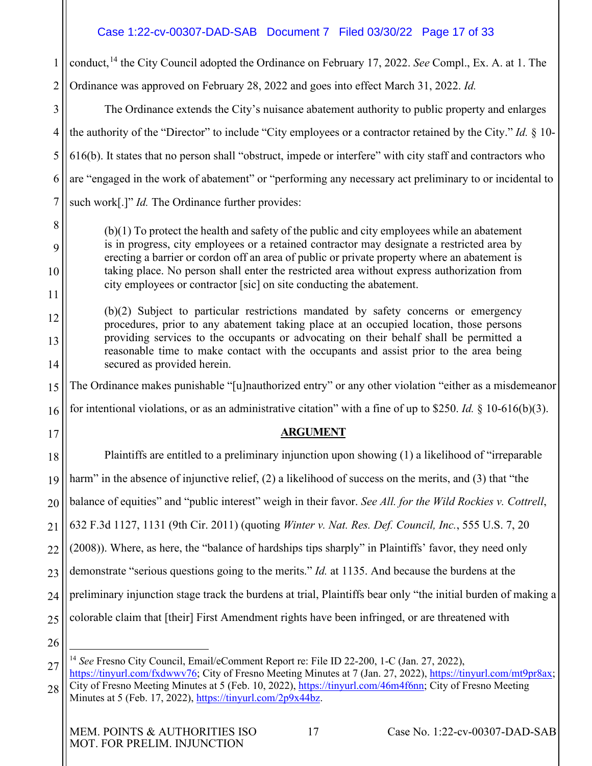# Case 1:22-cv-00307-DAD-SAB Document 7 Filed 03/30/22 Page 17 of 33

1 2 conduct,<sup>[14](#page-16-3)</sup> the City Council adopted the Ordinance on February 17, 2022. *See* Compl., Ex. A. at 1. The Ordinance was approved on February 28, 2022 and goes into effect March 31, 2022. *Id.*

3 4 5 6 7 The Ordinance extends the City's nuisance abatement authority to public property and enlarges the authority of the "Director" to include "City employees or a contractor retained by the City." *Id.* § 10- 616(b). It states that no person shall "obstruct, impede or interfere" with city staff and contractors who are "engaged in the work of abatement" or "performing any necessary act preliminary to or incidental to such work<sup>[1]"</sup> *Id.* The Ordinance further provides:

(b)(1) To protect the health and safety of the public and city employees while an abatement is in progress, city employees or a retained contractor may designate a restricted area by erecting a barrier or cordon off an area of public or private property where an abatement is taking place. No person shall enter the restricted area without express authorization from city employees or contractor [sic] on site conducting the abatement.

(b)(2) Subject to particular restrictions mandated by safety concerns or emergency procedures, prior to any abatement taking place at an occupied location, those persons providing services to the occupants or advocating on their behalf shall be permitted a reasonable time to make contact with the occupants and assist prior to the area being secured as provided herein.

15 The Ordinance makes punishable "[u]nauthorized entry" or any other violation "either as a misdemeanor

16 for intentional violations, or as an administrative citation" with a fine of up to \$250. *Id.* § 10-616(b)(3).

# <span id="page-16-2"></span><span id="page-16-1"></span>**ARGUMENT**

18 19 20 21 22 23 24 25 Plaintiffs are entitled to a preliminary injunction upon showing (1) a likelihood of "irreparable harm" in the absence of injunctive relief, (2) a likelihood of success on the merits, and (3) that "the balance of equities" and "public interest" weigh in their favor. *See All. for the Wild Rockies v. Cottrell*, 632 F.3d 1127, 1131 (9th Cir. 2011) (quoting *Winter v. Nat. Res. Def. Council, Inc.*, 555 U.S. 7, 20 (2008)). Where, as here, the "balance of hardships tips sharply" in Plaintiffs' favor, they need only demonstrate "serious questions going to the merits." *Id.* at 1135. And because the burdens at the preliminary injunction stage track the burdens at trial, Plaintiffs bear only "the initial burden of making a colorable claim that [their] First Amendment rights have been infringed, or are threatened with

26

8

9

10

11

12

13

14

<span id="page-16-0"></span>17

<span id="page-16-3"></span>27 <sup>14</sup> *See* Fresno City Council, Email/eComment Report re: File ID 22-200, 1-C (Jan. 27, 2022), [https://tinyurl.com/fxdwwv76;](https://tinyurl.com/fxdwwv76) City of Fresno Meeting Minutes at 7 (Jan. 27, 2022), [https://tinyurl.com/mt9pr8ax;](https://tinyurl.com/mt9pr8ax)

28 City of Fresno Meeting Minutes at 5 (Feb. 10, 2022), [https://tinyurl.com/46m4f6nn;](https://tinyurl.com/46m4f6nn) City of Fresno Meeting Minutes at 5 (Feb. 17, 2022), [https://tinyurl.com/2p9x44bz.](https://tinyurl.com/2p9x44bz)

MEM. POINTS & AUTHORITIES ISO 17 Case No. 1:22-cv-00307-DAD-SAB MOT. FOR PRELIM. INJUNCTION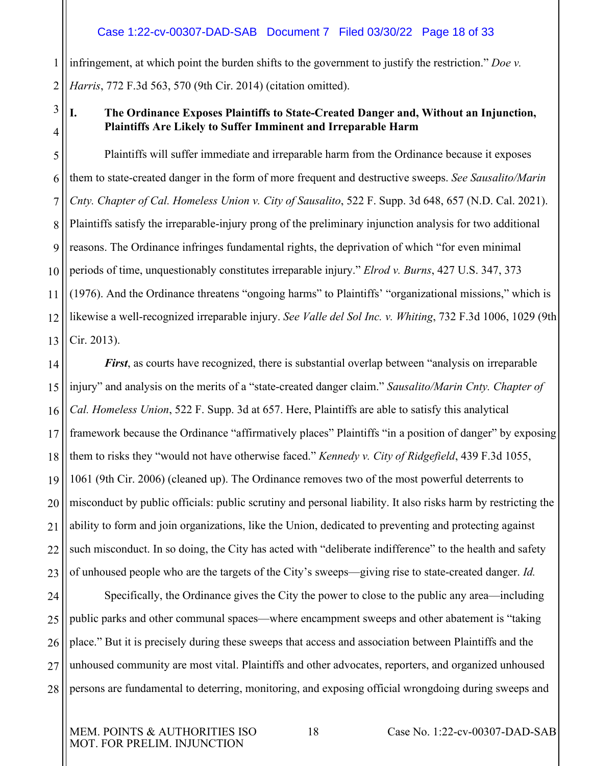#### <span id="page-17-4"></span><span id="page-17-1"></span>Case 1:22-cv-00307-DAD-SAB Document 7 Filed 03/30/22 Page 18 of 33

1 2 infringement, at which point the burden shifts to the government to justify the restriction." *Doe v. Harris*, 772 F.3d 563, 570 (9th Cir. 2014) (citation omitted).

3 4

# <span id="page-17-2"></span><span id="page-17-0"></span>**I. The Ordinance Exposes Plaintiffs to State-Created Danger and, Without an Injunction, Plaintiffs Are Likely to Suffer Imminent and Irreparable Harm**

5 6 7 8 9 10 11 12 13 Plaintiffs will suffer immediate and irreparable harm from the Ordinance because it exposes them to state-created danger in the form of more frequent and destructive sweeps. *See Sausalito/Marin Cnty. Chapter of Cal. Homeless Union v. City of Sausalito*, 522 F. Supp. 3d 648, 657 (N.D. Cal. 2021). Plaintiffs satisfy the irreparable-injury prong of the preliminary injunction analysis for two additional reasons. The Ordinance infringes fundamental rights, the deprivation of which "for even minimal periods of time, unquestionably constitutes irreparable injury." *Elrod v. Burns*, 427 U.S. 347, 373 (1976). And the Ordinance threatens "ongoing harms" to Plaintiffs' "organizational missions," which is likewise a well-recognized irreparable injury. *See Valle del Sol Inc. v. Whiting*, 732 F.3d 1006, 1029 (9th Cir. 2013).

<span id="page-17-5"></span><span id="page-17-3"></span>14 15 16 17 18 19 20 21 22 23 *First*, as courts have recognized, there is substantial overlap between "analysis on irreparable injury" and analysis on the merits of a "state-created danger claim." *Sausalito/Marin Cnty. Chapter of Cal. Homeless Union*, 522 F. Supp. 3d at 657. Here, Plaintiffs are able to satisfy this analytical framework because the Ordinance "affirmatively places" Plaintiffs "in a position of danger" by exposing them to risks they "would not have otherwise faced." *Kennedy v. City of Ridgefield*, 439 F.3d 1055, 1061 (9th Cir. 2006) (cleaned up). The Ordinance removes two of the most powerful deterrents to misconduct by public officials: public scrutiny and personal liability. It also risks harm by restricting the ability to form and join organizations, like the Union, dedicated to preventing and protecting against such misconduct. In so doing, the City has acted with "deliberate indifference" to the health and safety of unhoused people who are the targets of the City's sweeps—giving rise to state-created danger. *Id.*

24 25 26 27 28 Specifically, the Ordinance gives the City the power to close to the public any area—including public parks and other communal spaces—where encampment sweeps and other abatement is "taking place." But it is precisely during these sweeps that access and association between Plaintiffs and the unhoused community are most vital. Plaintiffs and other advocates, reporters, and organized unhoused persons are fundamental to deterring, monitoring, and exposing official wrongdoing during sweeps and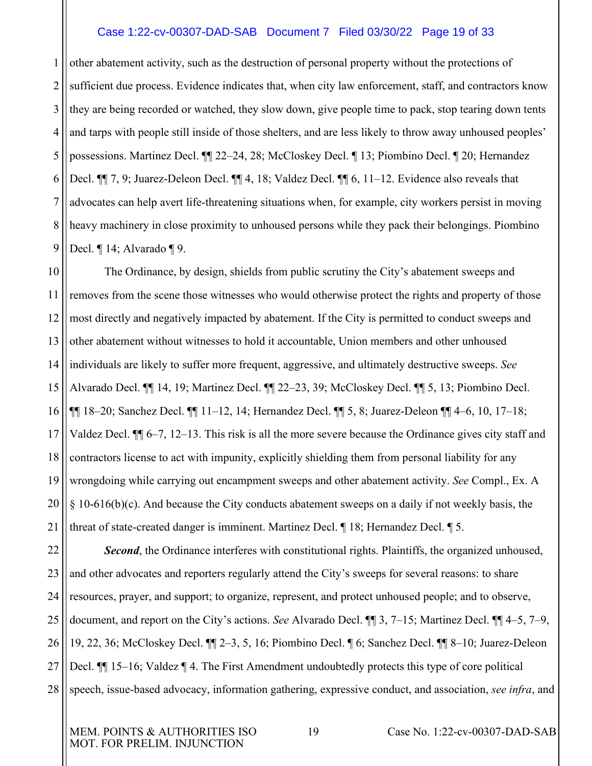#### Case 1:22-cv-00307-DAD-SAB Document 7 Filed 03/30/22 Page 19 of 33

1 2 3 4 5 6 7 8 9 other abatement activity, such as the destruction of personal property without the protections of sufficient due process. Evidence indicates that, when city law enforcement, staff, and contractors know they are being recorded or watched, they slow down, give people time to pack, stop tearing down tents and tarps with people still inside of those shelters, and are less likely to throw away unhoused peoples' possessions. Martinez Decl. ¶¶ 22–24, 28; McCloskey Decl. ¶ 13; Piombino Decl. ¶ 20; Hernandez Decl. ¶¶ 7, 9; Juarez-Deleon Decl. ¶¶ 4, 18; Valdez Decl. ¶¶ 6, 11–12. Evidence also reveals that advocates can help avert life-threatening situations when, for example, city workers persist in moving heavy machinery in close proximity to unhoused persons while they pack their belongings. Piombino Decl. ¶ 14; Alvarado ¶ 9.

10 11 12 13 14 15 16 17 18 19 20 21 The Ordinance, by design, shields from public scrutiny the City's abatement sweeps and removes from the scene those witnesses who would otherwise protect the rights and property of those most directly and negatively impacted by abatement. If the City is permitted to conduct sweeps and other abatement without witnesses to hold it accountable, Union members and other unhoused individuals are likely to suffer more frequent, aggressive, and ultimately destructive sweeps. *See*  Alvarado Decl. ¶¶ 14, 19; Martinez Decl. ¶¶ 22–23, 39; McCloskey Decl. ¶¶ 5, 13; Piombino Decl. ¶¶ 18–20; Sanchez Decl. ¶¶ 11–12, 14; Hernandez Decl. ¶¶ 5, 8; Juarez-Deleon ¶¶ 4–6, 10, 17–18; Valdez Decl. ¶¶ 6–7, 12–13. This risk is all the more severe because the Ordinance gives city staff and contractors license to act with impunity, explicitly shielding them from personal liability for any wrongdoing while carrying out encampment sweeps and other abatement activity. *See* Compl., Ex. A § 10-616(b)(c). And because the City conducts abatement sweeps on a daily if not weekly basis, the threat of state-created danger is imminent. Martinez Decl. ¶ 18; Hernandez Decl. ¶ 5.

22 23 24 25 26 27 28 **Second**, the Ordinance interferes with constitutional rights. Plaintiffs, the organized unhoused, and other advocates and reporters regularly attend the City's sweeps for several reasons: to share resources, prayer, and support; to organize, represent, and protect unhoused people; and to observe, document, and report on the City's actions. *See* Alvarado Decl. ¶¶ 3, 7–15; Martinez Decl. ¶¶ 4–5, 7–9, 19, 22, 36; McCloskey Decl. ¶¶ 2–3, 5, 16; Piombino Decl. ¶ 6; Sanchez Decl. ¶¶ 8–10; Juarez-Deleon Decl. ¶¶ 15–16; Valdez ¶ 4. The First Amendment undoubtedly protects this type of core political speech, issue-based advocacy, information gathering, expressive conduct, and association, *see infra*, and

MOT. FOR PRELIM. INJUNCTION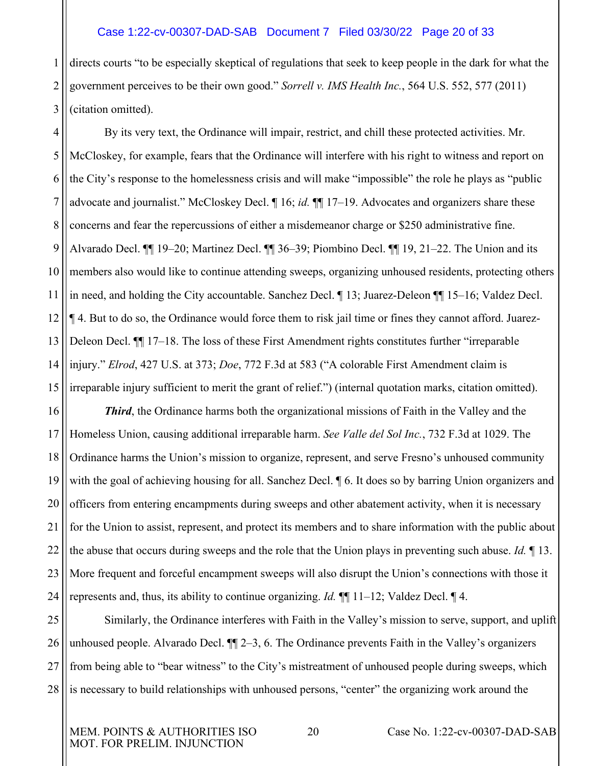#### <span id="page-19-2"></span>Case 1:22-cv-00307-DAD-SAB Document 7 Filed 03/30/22 Page 20 of 33

1 2 3 directs courts "to be especially skeptical of regulations that seek to keep people in the dark for what the government perceives to be their own good." *Sorrell v. IMS Health Inc.*, 564 U.S. 552, 577 (2011) (citation omitted).

4 5 6 7 8 9 10 11 12 13 14 15 By its very text, the Ordinance will impair, restrict, and chill these protected activities. Mr. McCloskey, for example, fears that the Ordinance will interfere with his right to witness and report on the City's response to the homelessness crisis and will make "impossible" the role he plays as "public advocate and journalist." McCloskey Decl. ¶ 16; *id.* ¶¶ 17–19. Advocates and organizers share these concerns and fear the repercussions of either a misdemeanor charge or \$250 administrative fine. Alvarado Decl. ¶¶ 19–20; Martinez Decl. ¶¶ 36–39; Piombino Decl. ¶¶ 19, 21–22. The Union and its members also would like to continue attending sweeps, organizing unhoused residents, protecting others in need, and holding the City accountable. Sanchez Decl. ¶ 13; Juarez-Deleon ¶¶ 15–16; Valdez Decl. ¶ 4. But to do so, the Ordinance would force them to risk jail time or fines they cannot afford. Juarez-Deleon Decl. ¶¶ 17–18. The loss of these First Amendment rights constitutes further "irreparable injury." *Elrod*, 427 U.S. at 373; *Doe*, 772 F.3d at 583 ("A colorable First Amendment claim is irreparable injury sufficient to merit the grant of relief.") (internal quotation marks, citation omitted).

<span id="page-19-3"></span><span id="page-19-1"></span><span id="page-19-0"></span>16 17 18 19 20 21 22 23 24 *Third*, the Ordinance harms both the organizational missions of Faith in the Valley and the Homeless Union, causing additional irreparable harm. *See Valle del Sol Inc.*, 732 F.3d at 1029. The Ordinance harms the Union's mission to organize, represent, and serve Fresno's unhoused community with the goal of achieving housing for all. Sanchez Decl.  $\parallel$  6. It does so by barring Union organizers and officers from entering encampments during sweeps and other abatement activity, when it is necessary for the Union to assist, represent, and protect its members and to share information with the public about the abuse that occurs during sweeps and the role that the Union plays in preventing such abuse. *Id.* ¶ 13. More frequent and forceful encampment sweeps will also disrupt the Union's connections with those it represents and, thus, its ability to continue organizing. *Id.* ¶¶ 11–12; Valdez Decl. ¶ 4.

25 26 27 28 Similarly, the Ordinance interferes with Faith in the Valley's mission to serve, support, and uplift unhoused people. Alvarado Decl. ¶¶ 2–3, 6. The Ordinance prevents Faith in the Valley's organizers from being able to "bear witness" to the City's mistreatment of unhoused people during sweeps, which is necessary to build relationships with unhoused persons, "center" the organizing work around the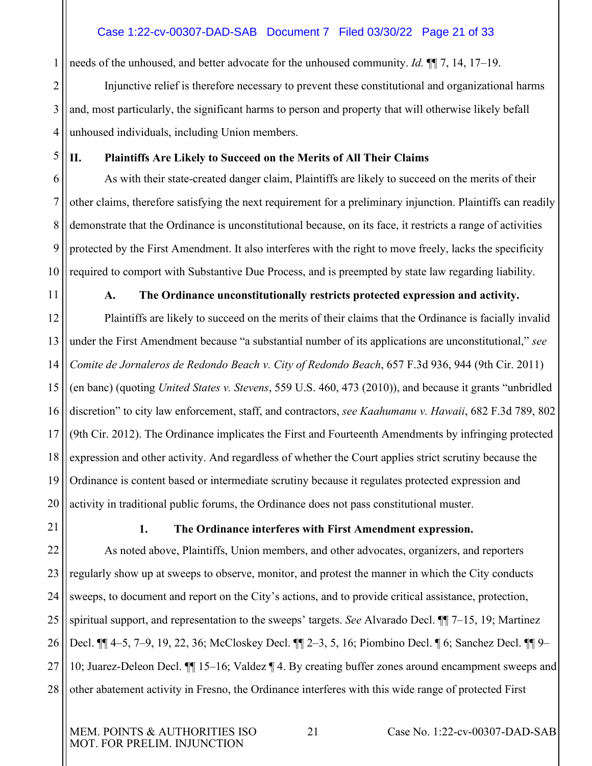# Case 1:22-cv-00307-DAD-SAB Document 7 Filed 03/30/22 Page 21 of 33

needs of the unhoused, and better advocate for the unhoused community. *Id.* ¶¶ 7, 14, 17–19.

2 3 4 Injunctive relief is therefore necessary to prevent these constitutional and organizational harms and, most particularly, the significant harms to person and property that will otherwise likely befall unhoused individuals, including Union members.

5

1

### <span id="page-20-0"></span>**II. Plaintiffs Are Likely to Succeed on the Merits of All Their Claims**

6 7 8 9 10 As with their state-created danger claim, Plaintiffs are likely to succeed on the merits of their other claims, therefore satisfying the next requirement for a preliminary injunction. Plaintiffs can readily demonstrate that the Ordinance is unconstitutional because, on its face, it restricts a range of activities protected by the First Amendment. It also interferes with the right to move freely, lacks the specificity required to comport with Substantive Due Process, and is preempted by state law regarding liability.

<span id="page-20-1"></span>11

#### <span id="page-20-5"></span>**A. The Ordinance unconstitutionally restricts protected expression and activity.**

<span id="page-20-3"></span>12 13 14 15 16 17 18 19 20 Plaintiffs are likely to succeed on the merits of their claims that the Ordinance is facially invalid under the First Amendment because "a substantial number of its applications are unconstitutional," *see Comite de Jornaleros de Redondo Beach v. City of Redondo Beach*, 657 F.3d 936, 944 (9th Cir. 2011) (en banc) (quoting *United States v. Stevens*, 559 U.S. 460, 473 (2010)), and because it grants "unbridled discretion" to city law enforcement, staff, and contractors, *see Kaahumanu v. Hawaii*, 682 F.3d 789, 802 (9th Cir. 2012). The Ordinance implicates the First and Fourteenth Amendments by infringing protected expression and other activity. And regardless of whether the Court applies strict scrutiny because the Ordinance is content based or intermediate scrutiny because it regulates protected expression and activity in traditional public forums, the Ordinance does not pass constitutional muster.

<span id="page-20-2"></span>21

# <span id="page-20-4"></span>**1. The Ordinance interferes with First Amendment expression.**

22 23 24 25 26 27 28 As noted above, Plaintiffs, Union members, and other advocates, organizers, and reporters regularly show up at sweeps to observe, monitor, and protest the manner in which the City conducts sweeps, to document and report on the City's actions, and to provide critical assistance, protection, spiritual support, and representation to the sweeps' targets. *See* Alvarado Decl. ¶¶ 7–15, 19; Martinez Decl. ¶¶ 4–5, 7–9, 19, 22, 36; McCloskey Decl. ¶¶ 2–3, 5, 16; Piombino Decl. ¶ 6; Sanchez Decl. ¶¶ 9– 10; Juarez-Deleon Decl. ¶¶ 15–16; Valdez ¶ 4. By creating buffer zones around encampment sweeps and other abatement activity in Fresno, the Ordinance interferes with this wide range of protected First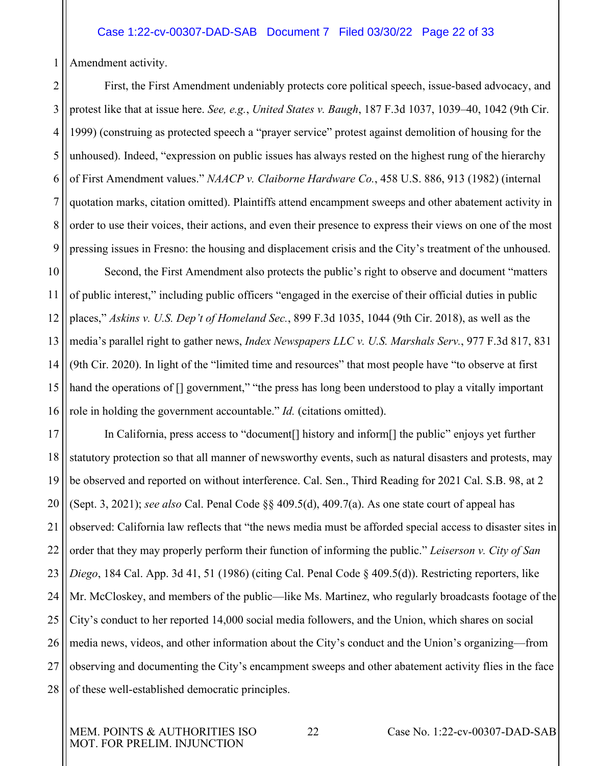1 Amendment activity.

<span id="page-21-4"></span><span id="page-21-3"></span>2 3 4 5 6 7 8 9 First, the First Amendment undeniably protects core political speech, issue-based advocacy, and protest like that at issue here. *See, e.g.*, *United States v. Baugh*, 187 F.3d 1037, 1039–40, 1042 (9th Cir. 1999) (construing as protected speech a "prayer service" protest against demolition of housing for the unhoused). Indeed, "expression on public issues has always rested on the highest rung of the hierarchy of First Amendment values." *NAACP v. Claiborne Hardware Co.*, 458 U.S. 886, 913 (1982) (internal quotation marks, citation omitted). Plaintiffs attend encampment sweeps and other abatement activity in order to use their voices, their actions, and even their presence to express their views on one of the most pressing issues in Fresno: the housing and displacement crisis and the City's treatment of the unhoused.

<span id="page-21-1"></span><span id="page-21-0"></span>10 11 12 13 14 15 16 Second, the First Amendment also protects the public's right to observe and document "matters of public interest," including public officers "engaged in the exercise of their official duties in public places," *Askins v. U.S. Dep't of Homeland Sec.*, 899 F.3d 1035, 1044 (9th Cir. 2018), as well as the media's parallel right to gather news, *Index Newspapers LLC v. U.S. Marshals Serv.*, 977 F.3d 817, 831 (9th Cir. 2020). In light of the "limited time and resources" that most people have "to observe at first hand the operations of [] government," "the press has long been understood to play a vitally important role in holding the government accountable." *Id.* (citations omitted).

<span id="page-21-7"></span><span id="page-21-6"></span><span id="page-21-5"></span><span id="page-21-2"></span>17 18 19 20 21 22 23 24 25 26 27 28 In California, press access to "document[] history and inform[] the public" enjoys yet further statutory protection so that all manner of newsworthy events, such as natural disasters and protests, may be observed and reported on without interference. Cal. Sen., Third Reading for 2021 Cal. S.B. 98, at 2 (Sept. 3, 2021); *see also* Cal. Penal Code §§ 409.5(d), 409.7(a). As one state court of appeal has observed: California law reflects that "the news media must be afforded special access to disaster sites in order that they may properly perform their function of informing the public." *Leiserson v. City of San Diego*, 184 Cal. App. 3d 41, 51 (1986) (citing Cal. Penal Code § 409.5(d)). Restricting reporters, like Mr. McCloskey, and members of the public—like Ms. Martinez, who regularly broadcasts footage of the City's conduct to her reported 14,000 social media followers, and the Union, which shares on social media news, videos, and other information about the City's conduct and the Union's organizing—from observing and documenting the City's encampment sweeps and other abatement activity flies in the face of these well-established democratic principles.

MOT. FOR PRELIM. INJUNCTION

MEM. POINTS & AUTHORITIES ISO 22 Case No. 1:22-cv-00307-DAD-SAB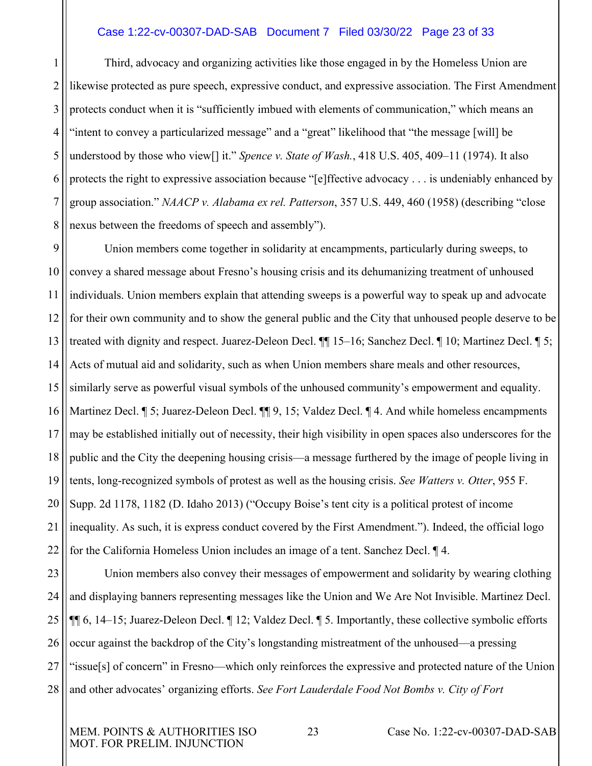#### <span id="page-22-1"></span>Case 1:22-cv-00307-DAD-SAB Document 7 Filed 03/30/22 Page 23 of 33

1 3 4 5 6 7 8 Third, advocacy and organizing activities like those engaged in by the Homeless Union are likewise protected as pure speech, expressive conduct, and expressive association. The First Amendment protects conduct when it is "sufficiently imbued with elements of communication," which means an "intent to convey a particularized message" and a "great" likelihood that "the message [will] be understood by those who view[] it." *Spence v. State of Wash.*, 418 U.S. 405, 409–11 (1974). It also protects the right to expressive association because "[e]ffective advocacy . . . is undeniably enhanced by group association." *NAACP v. Alabama ex rel. Patterson*, 357 U.S. 449, 460 (1958) (describing "close nexus between the freedoms of speech and assembly").

<span id="page-22-0"></span>9 10 11 12 13 14 15 16 17 18 19 20 21 22 Union members come together in solidarity at encampments, particularly during sweeps, to convey a shared message about Fresno's housing crisis and its dehumanizing treatment of unhoused individuals. Union members explain that attending sweeps is a powerful way to speak up and advocate for their own community and to show the general public and the City that unhoused people deserve to be treated with dignity and respect. Juarez-Deleon Decl. ¶¶ 15–16; Sanchez Decl. ¶ 10; Martinez Decl. ¶ 5; Acts of mutual aid and solidarity, such as when Union members share meals and other resources, similarly serve as powerful visual symbols of the unhoused community's empowerment and equality. Martinez Decl. ¶ 5; Juarez-Deleon Decl. ¶ 9, 15; Valdez Decl. ¶ 4. And while homeless encampments may be established initially out of necessity, their high visibility in open spaces also underscores for the public and the City the deepening housing crisis—a message furthered by the image of people living in tents, long-recognized symbols of protest as well as the housing crisis. *See Watters v. Otter*, 955 F. Supp. 2d 1178, 1182 (D. Idaho 2013) ("Occupy Boise's tent city is a political protest of income inequality. As such, it is express conduct covered by the First Amendment."). Indeed, the official logo for the California Homeless Union includes an image of a tent. Sanchez Decl. ¶ 4.

<span id="page-22-2"></span>23 24 25 26 27 28 Union members also convey their messages of empowerment and solidarity by wearing clothing and displaying banners representing messages like the Union and We Are Not Invisible. Martinez Decl. ¶¶ 6, 14–15; Juarez-Deleon Decl. ¶ 12; Valdez Decl. ¶ 5. Importantly, these collective symbolic efforts occur against the backdrop of the City's longstanding mistreatment of the unhoused—a pressing "issue[s] of concern" in Fresno—which only reinforces the expressive and protected nature of the Union and other advocates' organizing efforts. *See Fort Lauderdale Food Not Bombs v. City of Fort* 

MOT. FOR PRELIM. INJUNCTION

MEM. POINTS & AUTHORITIES ISO 23 Case No. 1:22-cv-00307-DAD-SAB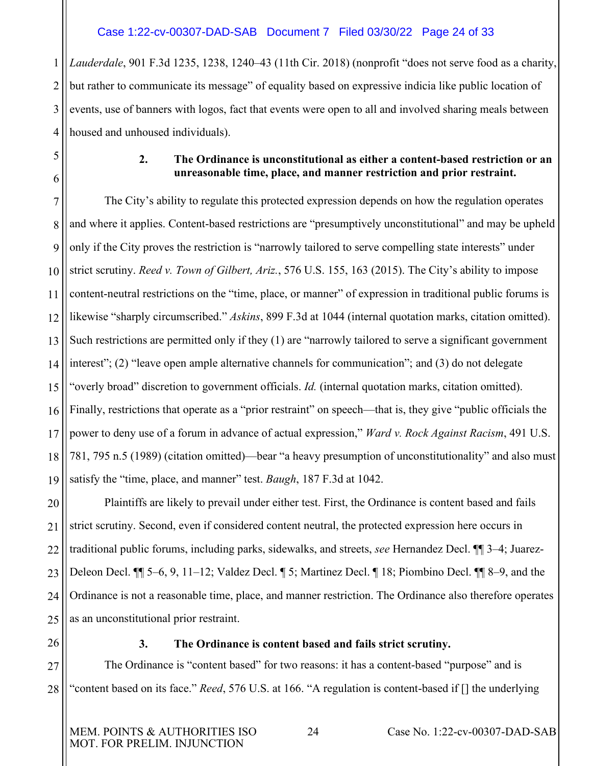# Case 1:22-cv-00307-DAD-SAB Document 7 Filed 03/30/22 Page 24 of 33

1 2 3 4 *Lauderdale*, 901 F.3d 1235, 1238, 1240–43 (11th Cir. 2018) (nonprofit "does not serve food as a charity, but rather to communicate its message" of equality based on expressive indicia like public location of events, use of banners with logos, fact that events were open to all and involved sharing meals between housed and unhoused individuals).

> <span id="page-23-3"></span><span id="page-23-2"></span>**2. The Ordinance is unconstitutional as either a content-based restriction or an unreasonable time, place, and manner restriction and prior restraint.**

7 8 9 10 11 12 13 14 15 16 17 18 19 The City's ability to regulate this protected expression depends on how the regulation operates and where it applies. Content-based restrictions are "presumptively unconstitutional" and may be upheld only if the City proves the restriction is "narrowly tailored to serve compelling state interests" under strict scrutiny. *Reed v. Town of Gilbert, Ariz.*, 576 U.S. 155, 163 (2015). The City's ability to impose content-neutral restrictions on the "time, place, or manner" of expression in traditional public forums is likewise "sharply circumscribed." *Askins*, 899 F.3d at 1044 (internal quotation marks, citation omitted). Such restrictions are permitted only if they (1) are "narrowly tailored to serve a significant government interest"; (2) "leave open ample alternative channels for communication"; and (3) do not delegate "overly broad" discretion to government officials. *Id.* (internal quotation marks, citation omitted). Finally, restrictions that operate as a "prior restraint" on speech—that is, they give "public officials the power to deny use of a forum in advance of actual expression," *Ward v. Rock Against Racism*, 491 U.S. 781, 795 n.5 (1989) (citation omitted)—bear "a heavy presumption of unconstitutionality" and also must satisfy the "time, place, and manner" test. *Baugh*, 187 F.3d at 1042.

20 21 22 23 24 25 Plaintiffs are likely to prevail under either test. First, the Ordinance is content based and fails strict scrutiny. Second, even if considered content neutral, the protected expression here occurs in traditional public forums, including parks, sidewalks, and streets, *see* Hernandez Decl. ¶¶ 3–4; Juarez-Deleon Decl. ¶¶ 5–6, 9, 11–12; Valdez Decl. ¶ 5; Martinez Decl. ¶ 18; Piombino Decl. ¶¶ 8–9, and the Ordinance is not a reasonable time, place, and manner restriction. The Ordinance also therefore operates as an unconstitutional prior restraint.

<span id="page-23-1"></span>26 27

<span id="page-23-0"></span>5

6

<span id="page-23-5"></span><span id="page-23-4"></span>**3. The Ordinance is content based and fails strict scrutiny.** 

28 The Ordinance is "content based" for two reasons: it has a content-based "purpose" and is "content based on its face." *Reed*, 576 U.S. at 166. "A regulation is content-based if [] the underlying

MOT. FOR PRELIM. INJUNCTION

MEM. POINTS & AUTHORITIES ISO  $24$  Case No. 1:22-cv-00307-DAD-SAB

<span id="page-23-6"></span>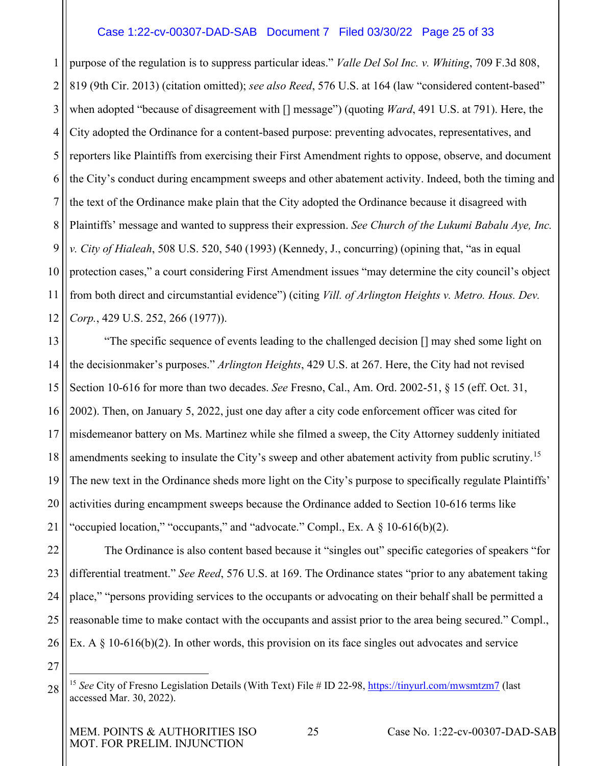#### <span id="page-24-3"></span><span id="page-24-1"></span><span id="page-24-0"></span>Case 1:22-cv-00307-DAD-SAB Document 7 Filed 03/30/22 Page 25 of 33

1 2 3 4 5 6 7 8 9 10 11 12 purpose of the regulation is to suppress particular ideas." *Valle Del Sol Inc. v. Whiting*, 709 F.3d 808, 819 (9th Cir. 2013) (citation omitted); *see also Reed*, 576 U.S. at 164 (law "considered content-based" when adopted "because of disagreement with [] message") (quoting *Ward*, 491 U.S. at 791). Here, the City adopted the Ordinance for a content-based purpose: preventing advocates, representatives, and reporters like Plaintiffs from exercising their First Amendment rights to oppose, observe, and document the City's conduct during encampment sweeps and other abatement activity. Indeed, both the timing and the text of the Ordinance make plain that the City adopted the Ordinance because it disagreed with Plaintiffs' message and wanted to suppress their expression. *See Church of the Lukumi Babalu Aye, Inc. v. City of Hialeah*, 508 U.S. 520, 540 (1993) (Kennedy, J., concurring) (opining that, "as in equal protection cases," a court considering First Amendment issues "may determine the city council's object from both direct and circumstantial evidence") (citing *Vill. of Arlington Heights v. Metro. Hous. Dev. Corp.*, 429 U.S. 252, 266 (1977)).

<span id="page-24-2"></span>13 14 15 16 17 18 19 20 21 "The specific sequence of events leading to the challenged decision [] may shed some light on the decisionmaker's purposes." *Arlington Heights*, 429 U.S. at 267. Here, the City had not revised Section 10-616 for more than two decades. *See* Fresno, Cal., Am. Ord. 2002-51, § 15 (eff. Oct. 31, 2002). Then, on January 5, 2022, just one day after a city code enforcement officer was cited for misdemeanor battery on Ms. Martinez while she filmed a sweep, the City Attorney suddenly initiated amendments seeking to insulate the City's sweep and other abatement activity from public scrutiny.<sup>[15](#page-24-4)</sup> The new text in the Ordinance sheds more light on the City's purpose to specifically regulate Plaintiffs' activities during encampment sweeps because the Ordinance added to Section 10-616 terms like "occupied location," "occupants," and "advocate." Compl., Ex. A  $\S$  10-616(b)(2).

22 23 24 25 26 The Ordinance is also content based because it "singles out" specific categories of speakers "for differential treatment." *See Reed*, 576 U.S. at 169. The Ordinance states "prior to any abatement taking place," "persons providing services to the occupants or advocating on their behalf shall be permitted a reasonable time to make contact with the occupants and assist prior to the area being secured." Compl., Ex. A  $\S$  10-616(b)(2). In other words, this provision on its face singles out advocates and service

<span id="page-24-4"></span><sup>28</sup> <sup>15</sup> See City of Fresno Legislation Details (With Text) File # ID 22-98,<https://tinyurl.com/mwsmtzm7> (last accessed Mar. 30, 2022).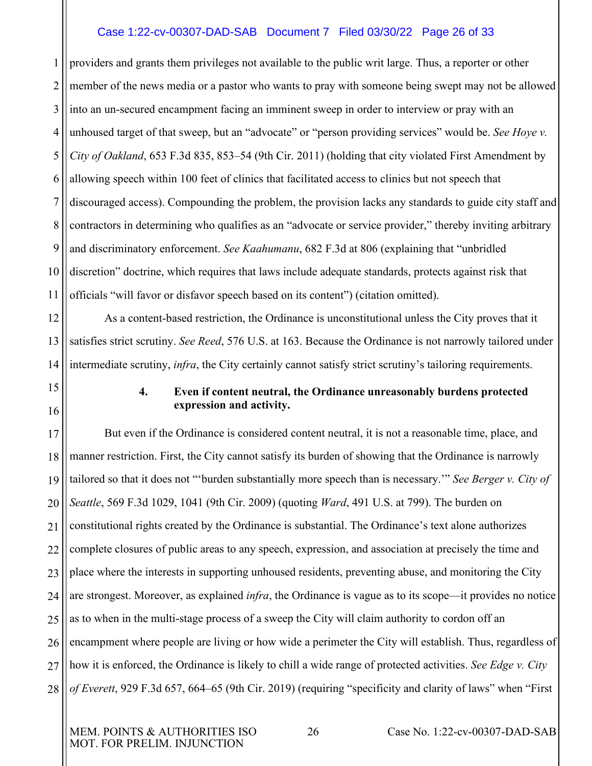# <span id="page-25-2"></span>Case 1:22-cv-00307-DAD-SAB Document 7 Filed 03/30/22 Page 26 of 33

1 2 3 4 5 6 7 8 9 10 11 providers and grants them privileges not available to the public writ large. Thus, a reporter or other member of the news media or a pastor who wants to pray with someone being swept may not be allowed into an un-secured encampment facing an imminent sweep in order to interview or pray with an unhoused target of that sweep, but an "advocate" or "person providing services" would be. *See Hoye v. City of Oakland*, 653 F.3d 835, 853–54 (9th Cir. 2011) (holding that city violated First Amendment by allowing speech within 100 feet of clinics that facilitated access to clinics but not speech that discouraged access). Compounding the problem, the provision lacks any standards to guide city staff and contractors in determining who qualifies as an "advocate or service provider," thereby inviting arbitrary and discriminatory enforcement. *See Kaahumanu*, 682 F.3d at 806 (explaining that "unbridled discretion" doctrine, which requires that laws include adequate standards, protects against risk that officials "will favor or disfavor speech based on its content") (citation omitted).

12 13 14 As a content-based restriction, the Ordinance is unconstitutional unless the City proves that it satisfies strict scrutiny. *See Reed*, 576 U.S. at 163. Because the Ordinance is not narrowly tailored under intermediate scrutiny, *infra*, the City certainly cannot satisfy strict scrutiny's tailoring requirements.

# <span id="page-25-5"></span><span id="page-25-4"></span><span id="page-25-3"></span><span id="page-25-1"></span>**4. Even if content neutral, the Ordinance unreasonably burdens protected expression and activity.**

17 18 19 20 21 22 23 24 25 26 27 28 But even if the Ordinance is considered content neutral, it is not a reasonable time, place, and manner restriction. First, the City cannot satisfy its burden of showing that the Ordinance is narrowly tailored so that it does not "'burden substantially more speech than is necessary.'" *See Berger v. City of Seattle*, 569 F.3d 1029, 1041 (9th Cir. 2009) (quoting *Ward*, 491 U.S. at 799). The burden on constitutional rights created by the Ordinance is substantial. The Ordinance's text alone authorizes complete closures of public areas to any speech, expression, and association at precisely the time and place where the interests in supporting unhoused residents, preventing abuse, and monitoring the City are strongest. Moreover, as explained *infra*, the Ordinance is vague as to its scope—it provides no notice as to when in the multi-stage process of a sweep the City will claim authority to cordon off an encampment where people are living or how wide a perimeter the City will establish. Thus, regardless of how it is enforced, the Ordinance is likely to chill a wide range of protected activities. *See Edge v. City of Everett*, 929 F.3d 657, 664–65 (9th Cir. 2019) (requiring "specificity and clarity of laws" when "First

<span id="page-25-0"></span>15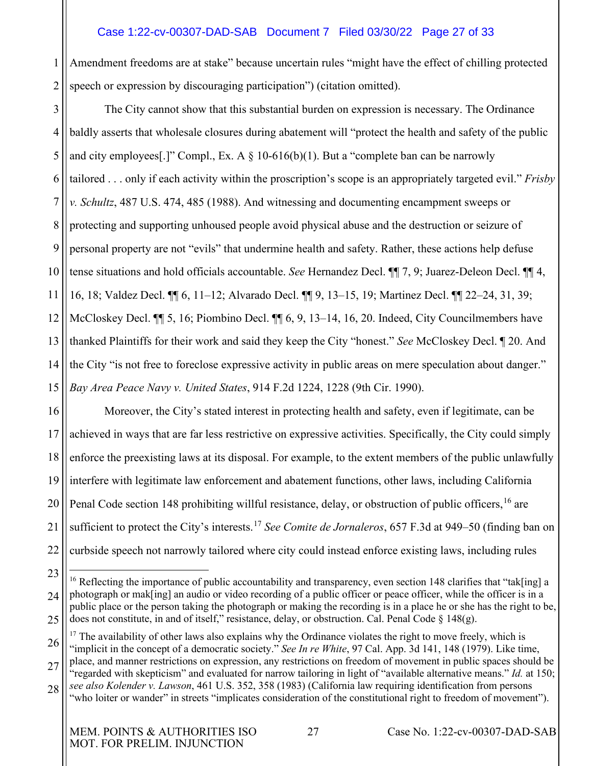# <span id="page-26-2"></span>Case 1:22-cv-00307-DAD-SAB Document 7 Filed 03/30/22 Page 27 of 33

1 2 Amendment freedoms are at stake" because uncertain rules "might have the effect of chilling protected speech or expression by discouraging participation") (citation omitted).

3 4 5 6 7 8 9 10 11 12 13 14 15 The City cannot show that this substantial burden on expression is necessary. The Ordinance baldly asserts that wholesale closures during abatement will "protect the health and safety of the public and city employees[.]" Compl., Ex. A  $\S$  10-616(b)(1). But a "complete ban can be narrowly tailored . . . only if each activity within the proscription's scope is an appropriately targeted evil." *Frisby v. Schultz*, 487 U.S. 474, 485 (1988). And witnessing and documenting encampment sweeps or protecting and supporting unhoused people avoid physical abuse and the destruction or seizure of personal property are not "evils" that undermine health and safety. Rather, these actions help defuse tense situations and hold officials accountable. *See* Hernandez Decl. ¶¶ 7, 9; Juarez-Deleon Decl. ¶¶ 4, 16, 18; Valdez Decl. ¶¶ 6, 11–12; Alvarado Decl. ¶¶ 9, 13–15, 19; Martinez Decl. ¶¶ 22–24, 31, 39; McCloskey Decl. ¶¶ 5, 16; Piombino Decl. ¶¶ 6, 9, 13–14, 16, 20. Indeed, City Councilmembers have thanked Plaintiffs for their work and said they keep the City "honest." *See* McCloskey Decl. ¶ 20. And the City "is not free to foreclose expressive activity in public areas on mere speculation about danger." *Bay Area Peace Navy v. United States*, 914 F.2d 1224, 1228 (9th Cir. 1990).

<span id="page-26-0"></span>16 17 18 19 20 21 22 Moreover, the City's stated interest in protecting health and safety, even if legitimate, can be achieved in ways that are far less restrictive on expressive activities. Specifically, the City could simply enforce the preexisting laws at its disposal. For example, to the extent members of the public unlawfully interfere with legitimate law enforcement and abatement functions, other laws, including California Penal Code section 148 prohibiting willful resistance, delay, or obstruction of public officers, <sup>[16](#page-26-5)</sup> are sufficient to protect the City's interests.[17](#page-26-6) *See Comite de Jornaleros*, 657 F.3d at 949–50 (finding ban on curbside speech not narrowly tailored where city could instead enforce existing laws, including rules

<span id="page-26-1"></span><sup>23</sup>

<span id="page-26-5"></span><sup>24</sup> 25 <sup>16</sup> Reflecting the importance of public accountability and transparency, even section 148 clarifies that "tak[ing] a photograph or mak[ing] an audio or video recording of a public officer or peace officer, while the officer is in a public place or the person taking the photograph or making the recording is in a place he or she has the right to be, does not constitute, in and of itself," resistance, delay, or obstruction. Cal. Penal Code  $\S$  148(g).

<span id="page-26-6"></span><span id="page-26-4"></span><sup>26</sup> <sup>17</sup> The availability of other laws also explains why the Ordinance violates the right to move freely, which is "implicit in the concept of a democratic society." *See In re White*, 97 Cal. App. 3d 141, 148 (1979). Like time,

<span id="page-26-3"></span><sup>27</sup> place, and manner restrictions on expression, any restrictions on freedom of movement in public spaces should be "regarded with skepticism" and evaluated for narrow tailoring in light of "available alternative means." *Id.* at 150;

<sup>28</sup> *see also Kolender v. Lawson*, 461 U.S. 352, 358 (1983) (California law requiring identification from persons "who loiter or wander" in streets "implicates consideration of the constitutional right to freedom of movement").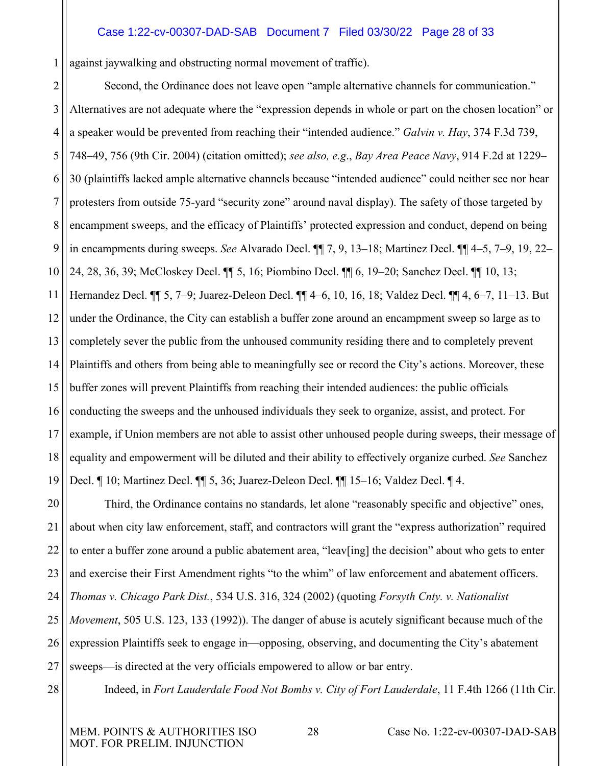#### <span id="page-27-3"></span><span id="page-27-0"></span>Case 1:22-cv-00307-DAD-SAB Document 7 Filed 03/30/22 Page 28 of 33

against jaywalking and obstructing normal movement of traffic).

2 3 4 5 6 7 8 9 10 11 12 13 14 15 16 17 18 19 Second, the Ordinance does not leave open "ample alternative channels for communication." Alternatives are not adequate where the "expression depends in whole or part on the chosen location" or a speaker would be prevented from reaching their "intended audience." *Galvin v. Hay*, 374 F.3d 739, 748–49, 756 (9th Cir. 2004) (citation omitted); *see also, e.g*., *Bay Area Peace Navy*, 914 F.2d at 1229– 30 (plaintiffs lacked ample alternative channels because "intended audience" could neither see nor hear protesters from outside 75-yard "security zone" around naval display). The safety of those targeted by encampment sweeps, and the efficacy of Plaintiffs' protected expression and conduct, depend on being in encampments during sweeps. *See* Alvarado Decl. ¶¶ 7, 9, 13–18; Martinez Decl. ¶¶ 4–5, 7–9, 19, 22– 24, 28, 36, 39; McCloskey Decl. ¶¶ 5, 16; Piombino Decl. ¶¶ 6, 19–20; Sanchez Decl. ¶¶ 10, 13; Hernandez Decl. ¶¶ 5, 7–9; Juarez-Deleon Decl. ¶¶ 4–6, 10, 16, 18; Valdez Decl. ¶¶ 4, 6–7, 11–13. But under the Ordinance, the City can establish a buffer zone around an encampment sweep so large as to completely sever the public from the unhoused community residing there and to completely prevent Plaintiffs and others from being able to meaningfully see or record the City's actions. Moreover, these buffer zones will prevent Plaintiffs from reaching their intended audiences: the public officials conducting the sweeps and the unhoused individuals they seek to organize, assist, and protect. For example, if Union members are not able to assist other unhoused people during sweeps, their message of equality and empowerment will be diluted and their ability to effectively organize curbed. *See* Sanchez Decl. ¶ 10; Martinez Decl. ¶¶ 5, 36; Juarez-Deleon Decl. ¶¶ 15–16; Valdez Decl. ¶ 4.

20 21 22 23 24 25 26 27 Third, the Ordinance contains no standards, let alone "reasonably specific and objective" ones, about when city law enforcement, staff, and contractors will grant the "express authorization" required to enter a buffer zone around a public abatement area, "leav[ing] the decision" about who gets to enter and exercise their First Amendment rights "to the whim" of law enforcement and abatement officers. *Thomas v. Chicago Park Dist.*, 534 U.S. 316, 324 (2002) (quoting *Forsyth Cnty. v. Nationalist Movement*, 505 U.S. 123, 133 (1992)). The danger of abuse is acutely significant because much of the expression Plaintiffs seek to engage in—opposing, observing, and documenting the City's abatement sweeps—is directed at the very officials empowered to allow or bar entry.

<span id="page-27-4"></span>28

1

<span id="page-27-2"></span><span id="page-27-1"></span>Indeed, in *Fort Lauderdale Food Not Bombs v. City of Fort Lauderdale*, 11 F.4th 1266 (11th Cir.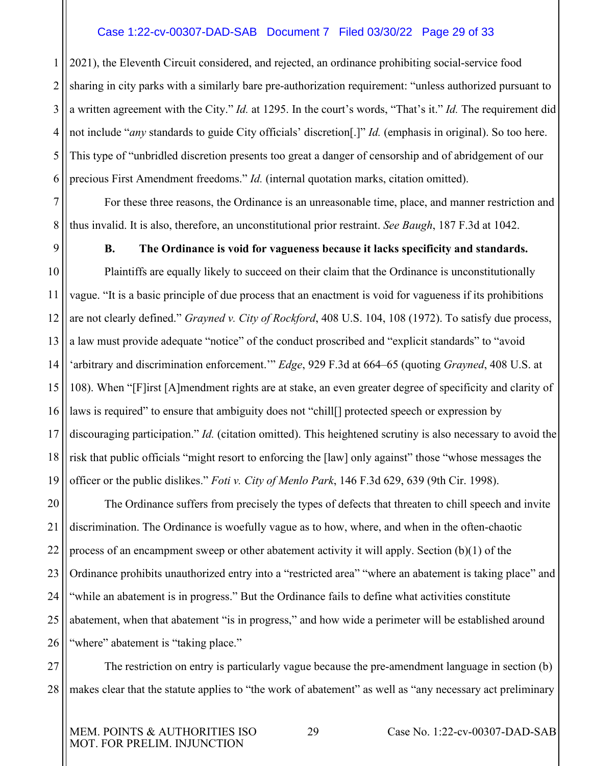#### Case 1:22-cv-00307-DAD-SAB Document 7 Filed 03/30/22 Page 29 of 33

1 2 3 4 5 6 2021), the Eleventh Circuit considered, and rejected, an ordinance prohibiting social-service food sharing in city parks with a similarly bare pre-authorization requirement: "unless authorized pursuant to a written agreement with the City." *Id.* at 1295. In the court's words, "That's it." *Id.* The requirement did not include "*any* standards to guide City officials' discretion[.]" *Id.* (emphasis in original). So too here. This type of "unbridled discretion presents too great a danger of censorship and of abridgement of our precious First Amendment freedoms." *Id.* (internal quotation marks, citation omitted).

7 8 For these three reasons, the Ordinance is an unreasonable time, place, and manner restriction and thus invalid. It is also, therefore, an unconstitutional prior restraint. *See Baugh*, 187 F.3d at 1042.

#### <span id="page-28-4"></span><span id="page-28-3"></span><span id="page-28-1"></span>**B. The Ordinance is void for vagueness because it lacks specificity and standards.**

<span id="page-28-0"></span>10 11 12 13 14 15 16 17 18 19 Plaintiffs are equally likely to succeed on their claim that the Ordinance is unconstitutionally vague. "It is a basic principle of due process that an enactment is void for vagueness if its prohibitions are not clearly defined." *Grayned v. City of Rockford*, 408 U.S. 104, 108 (1972). To satisfy due process, a law must provide adequate "notice" of the conduct proscribed and "explicit standards" to "avoid 'arbitrary and discrimination enforcement.'" *Edge*, 929 F.3d at 664–65 (quoting *Grayned*, 408 U.S. at 108). When "[F]irst [A]mendment rights are at stake, an even greater degree of specificity and clarity of laws is required" to ensure that ambiguity does not "chill<sup>[]</sup> protected speech or expression by discouraging participation." *Id.* (citation omitted). This heightened scrutiny is also necessary to avoid the risk that public officials "might resort to enforcing the [law] only against" those "whose messages the officer or the public dislikes." *Foti v. City of Menlo Park*, 146 F.3d 629, 639 (9th Cir. 1998).

<span id="page-28-2"></span>20 21 22 23 24 25 26 The Ordinance suffers from precisely the types of defects that threaten to chill speech and invite discrimination. The Ordinance is woefully vague as to how, where, and when in the often-chaotic process of an encampment sweep or other abatement activity it will apply. Section (b)(1) of the Ordinance prohibits unauthorized entry into a "restricted area" "where an abatement is taking place" and "while an abatement is in progress." But the Ordinance fails to define what activities constitute abatement, when that abatement "is in progress," and how wide a perimeter will be established around "where" abatement is "taking place."

27 28 The restriction on entry is particularly vague because the pre-amendment language in section (b) makes clear that the statute applies to "the work of abatement" as well as "any necessary act preliminary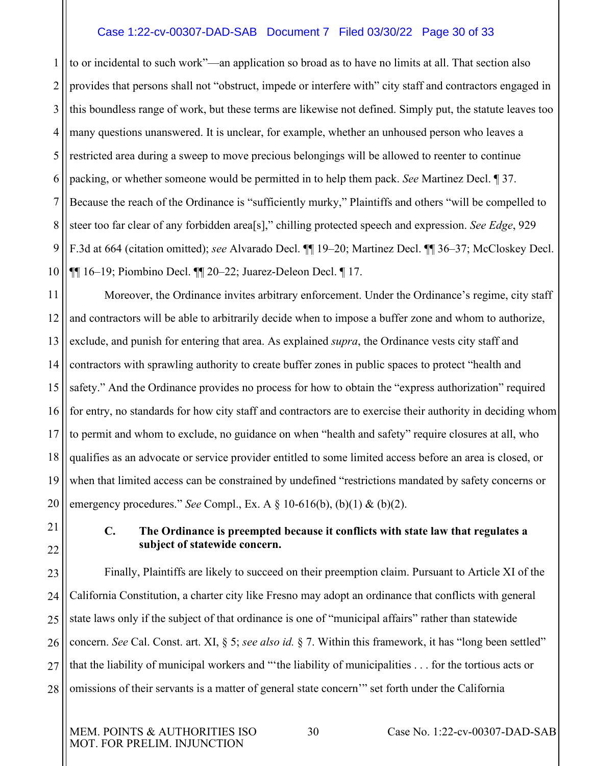#### <span id="page-29-1"></span>Case 1:22-cv-00307-DAD-SAB Document 7 Filed 03/30/22 Page 30 of 33

1 2 3 4 5 6 7 8 9 10 to or incidental to such work"—an application so broad as to have no limits at all. That section also provides that persons shall not "obstruct, impede or interfere with" city staff and contractors engaged in this boundless range of work, but these terms are likewise not defined. Simply put, the statute leaves too many questions unanswered. It is unclear, for example, whether an unhoused person who leaves a restricted area during a sweep to move precious belongings will be allowed to reenter to continue packing, or whether someone would be permitted in to help them pack. *See* Martinez Decl. ¶ 37. Because the reach of the Ordinance is "sufficiently murky," Plaintiffs and others "will be compelled to steer too far clear of any forbidden area[s]," chilling protected speech and expression. *See Edge*, 929 F.3d at 664 (citation omitted); *see* Alvarado Decl. ¶¶ 19–20; Martinez Decl. ¶¶ 36–37; McCloskey Decl. ¶¶ 16–19; Piombino Decl. ¶¶ 20–22; Juarez-Deleon Decl. ¶ 17.

11 12 13 14 15 16 17 18 19 20 Moreover, the Ordinance invites arbitrary enforcement. Under the Ordinance's regime, city staff and contractors will be able to arbitrarily decide when to impose a buffer zone and whom to authorize, exclude, and punish for entering that area. As explained *supra*, the Ordinance vests city staff and contractors with sprawling authority to create buffer zones in public spaces to protect "health and safety." And the Ordinance provides no process for how to obtain the "express authorization" required for entry, no standards for how city staff and contractors are to exercise their authority in deciding whom to permit and whom to exclude, no guidance on when "health and safety" require closures at all, who qualifies as an advocate or service provider entitled to some limited access before an area is closed, or when that limited access can be constrained by undefined "restrictions mandated by safety concerns or emergency procedures." *See* Compl., Ex. A § 10-616(b), (b)(1) & (b)(2).

<span id="page-29-0"></span>21 22

# <span id="page-29-2"></span>**C. The Ordinance is preempted because it conflicts with state law that regulates a subject of statewide concern.**

23 24 25 26 27 28 Finally, Plaintiffs are likely to succeed on their preemption claim. Pursuant to Article XI of the California Constitution, a charter city like Fresno may adopt an ordinance that conflicts with general state laws only if the subject of that ordinance is one of "municipal affairs" rather than statewide concern. *See* Cal. Const. art. XI, § 5; *see also id.* § 7. Within this framework, it has "long been settled" that the liability of municipal workers and "'the liability of municipalities . . . for the tortious acts or omissions of their servants is a matter of general state concern'" set forth under the California

MOT. FOR PRELIM. INJUNCTION

MEM. POINTS & AUTHORITIES ISO 30 Case No. 1:22-cv-00307-DAD-SAB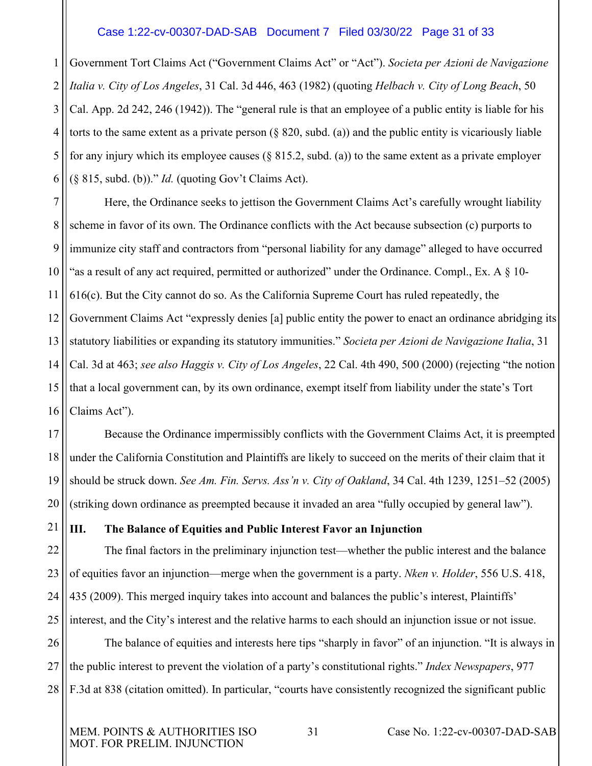#### <span id="page-30-5"></span><span id="page-30-3"></span>Case 1:22-cv-00307-DAD-SAB Document 7 Filed 03/30/22 Page 31 of 33

1 2 3 4 5 6 Government Tort Claims Act ("Government Claims Act" or "Act"). *Societa per Azioni de Navigazione Italia v. City of Los Angeles*, 31 Cal. 3d 446, 463 (1982) (quoting *Helbach v. City of Long Beach*, 50 Cal. App. 2d 242, 246 (1942)). The "general rule is that an employee of a public entity is liable for his torts to the same extent as a private person (§ 820, subd. (a)) and the public entity is vicariously liable for any injury which its employee causes ( $\S 815.2$ , subd. (a)) to the same extent as a private employer (§ 815, subd. (b))." *Id.* (quoting Gov't Claims Act).

7 8 9 10 11 12 13 14 15 16 Here, the Ordinance seeks to jettison the Government Claims Act's carefully wrought liability scheme in favor of its own. The Ordinance conflicts with the Act because subsection (c) purports to immunize city staff and contractors from "personal liability for any damage" alleged to have occurred "as a result of any act required, permitted or authorized" under the Ordinance. Compl., Ex. A  $\S$  10-616(c). But the City cannot do so. As the California Supreme Court has ruled repeatedly, the Government Claims Act "expressly denies [a] public entity the power to enact an ordinance abridging its statutory liabilities or expanding its statutory immunities." *Societa per Azioni de Navigazione Italia*, 31 Cal. 3d at 463; *see also Haggis v. City of Los Angeles*, 22 Cal. 4th 490, 500 (2000) (rejecting "the notion that a local government can, by its own ordinance, exempt itself from liability under the state's Tort Claims Act").

<span id="page-30-2"></span>17 18 19 20 Because the Ordinance impermissibly conflicts with the Government Claims Act, it is preempted under the California Constitution and Plaintiffs are likely to succeed on the merits of their claim that it should be struck down. *See Am. Fin. Servs. Ass'n v. City of Oakland*, 34 Cal. 4th 1239, 1251–52 (2005) (striking down ordinance as preempted because it invaded an area "fully occupied by general law").

<span id="page-30-4"></span><span id="page-30-1"></span><span id="page-30-0"></span>**III. The Balance of Equities and Public Interest Favor an Injunction**

22 23 24 25 The final factors in the preliminary injunction test—whether the public interest and the balance of equities favor an injunction—merge when the government is a party. *Nken v. Holder*, 556 U.S. 418, 435 (2009). This merged inquiry takes into account and balances the public's interest, Plaintiffs' interest, and the City's interest and the relative harms to each should an injunction issue or not issue.

26 27 28 The balance of equities and interests here tips "sharply in favor" of an injunction. "It is always in the public interest to prevent the violation of a party's constitutional rights." *Index Newspapers*, 977 F.3d at 838 (citation omitted). In particular, "courts have consistently recognized the significant public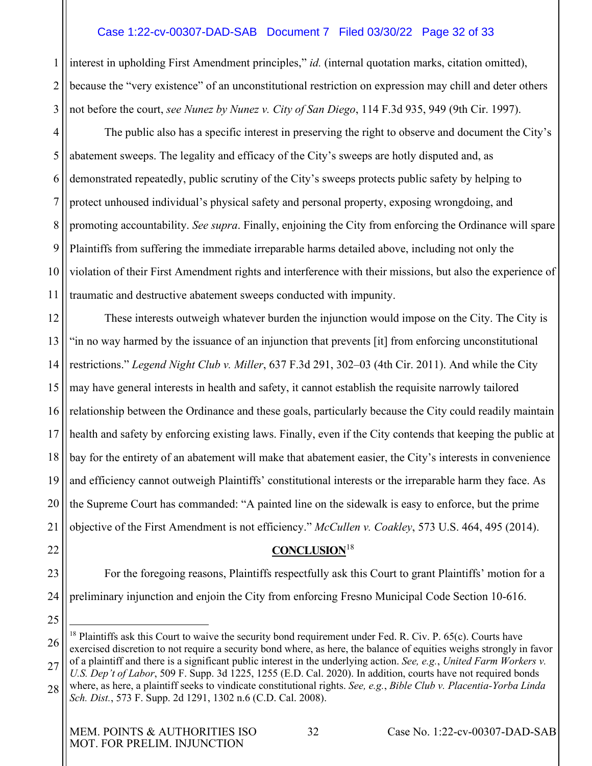# <span id="page-31-3"></span>Case 1:22-cv-00307-DAD-SAB Document 7 Filed 03/30/22 Page 32 of 33

1 2 3 interest in upholding First Amendment principles," *id.* (internal quotation marks, citation omitted), because the "very existence" of an unconstitutional restriction on expression may chill and deter others not before the court, *see Nunez by Nunez v. City of San Diego*, 114 F.3d 935, 949 (9th Cir. 1997).

4 5 6 7 8 9 10 11 The public also has a specific interest in preserving the right to observe and document the City's abatement sweeps. The legality and efficacy of the City's sweeps are hotly disputed and, as demonstrated repeatedly, public scrutiny of the City's sweeps protects public safety by helping to protect unhoused individual's physical safety and personal property, exposing wrongdoing, and promoting accountability. *See supra*. Finally, enjoining the City from enforcing the Ordinance will spare Plaintiffs from suffering the immediate irreparable harms detailed above, including not only the violation of their First Amendment rights and interference with their missions, but also the experience of traumatic and destructive abatement sweeps conducted with impunity.

<span id="page-31-1"></span>12 13 14 15 16 17 18 19 20 21 These interests outweigh whatever burden the injunction would impose on the City. The City is "in no way harmed by the issuance of an injunction that prevents [it] from enforcing unconstitutional restrictions." *Legend Night Club v. Miller*, 637 F.3d 291, 302–03 (4th Cir. 2011). And while the City may have general interests in health and safety, it cannot establish the requisite narrowly tailored relationship between the Ordinance and these goals, particularly because the City could readily maintain health and safety by enforcing existing laws. Finally, even if the City contends that keeping the public at bay for the entirety of an abatement will make that abatement easier, the City's interests in convenience and efficiency cannot outweigh Plaintiffs' constitutional interests or the irreparable harm they face. As the Supreme Court has commanded: "A painted line on the sidewalk is easy to enforce, but the prime objective of the First Amendment is not efficiency." *McCullen v. Coakley*, 573 U.S. 464, 495 (2014).

<span id="page-31-4"></span><span id="page-31-2"></span>**CONCLUSION**[18](#page-31-5)

23 24 For the foregoing reasons, Plaintiffs respectfully ask this Court to grant Plaintiffs' motion for a preliminary injunction and enjoin the City from enforcing Fresno Municipal Code Section 10-616.

25

<span id="page-31-0"></span>22

<span id="page-31-5"></span>26 27 <sup>18</sup> Plaintiffs ask this Court to waive the security bond requirement under Fed. R. Civ. P. 65(c). Courts have exercised discretion to not require a security bond where, as here, the balance of equities weighs strongly in favor of a plaintiff and there is a significant public interest in the underlying action. *See, e.g.*, *United Farm Workers v.* 

<sup>28</sup> *U.S. Dep't of Labor*, 509 F. Supp. 3d 1225, 1255 (E.D. Cal. 2020). In addition, courts have not required bonds where, as here, a plaintiff seeks to vindicate constitutional rights. *See, e.g.*, *Bible Club v. Placentia-Yorba Linda Sch. Dist.*, 573 F. Supp. 2d 1291, 1302 n.6 (C.D. Cal. 2008).